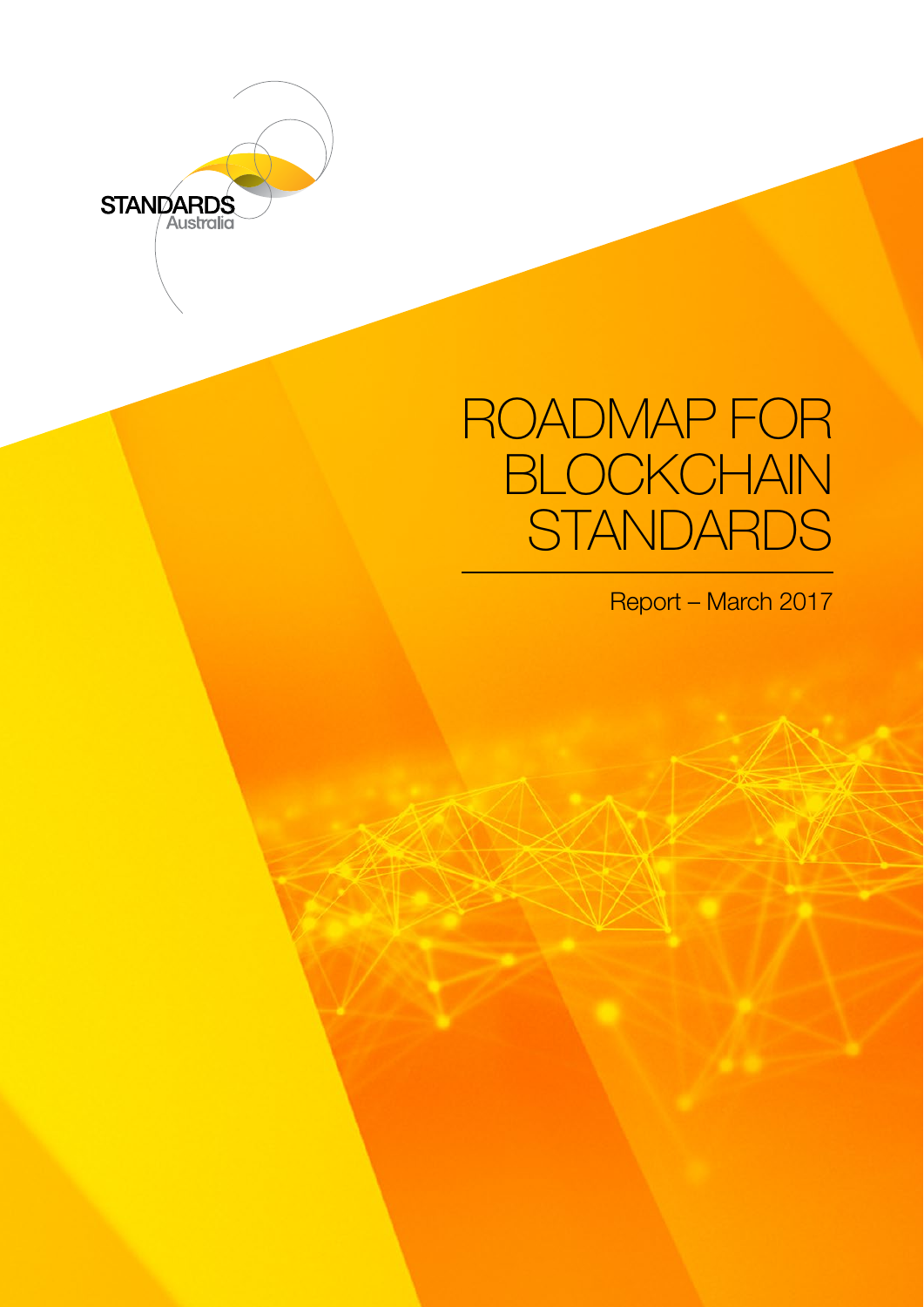

# ROADMAP FOR **BLOCKCHAIN STANDARDS**

Report – March 2017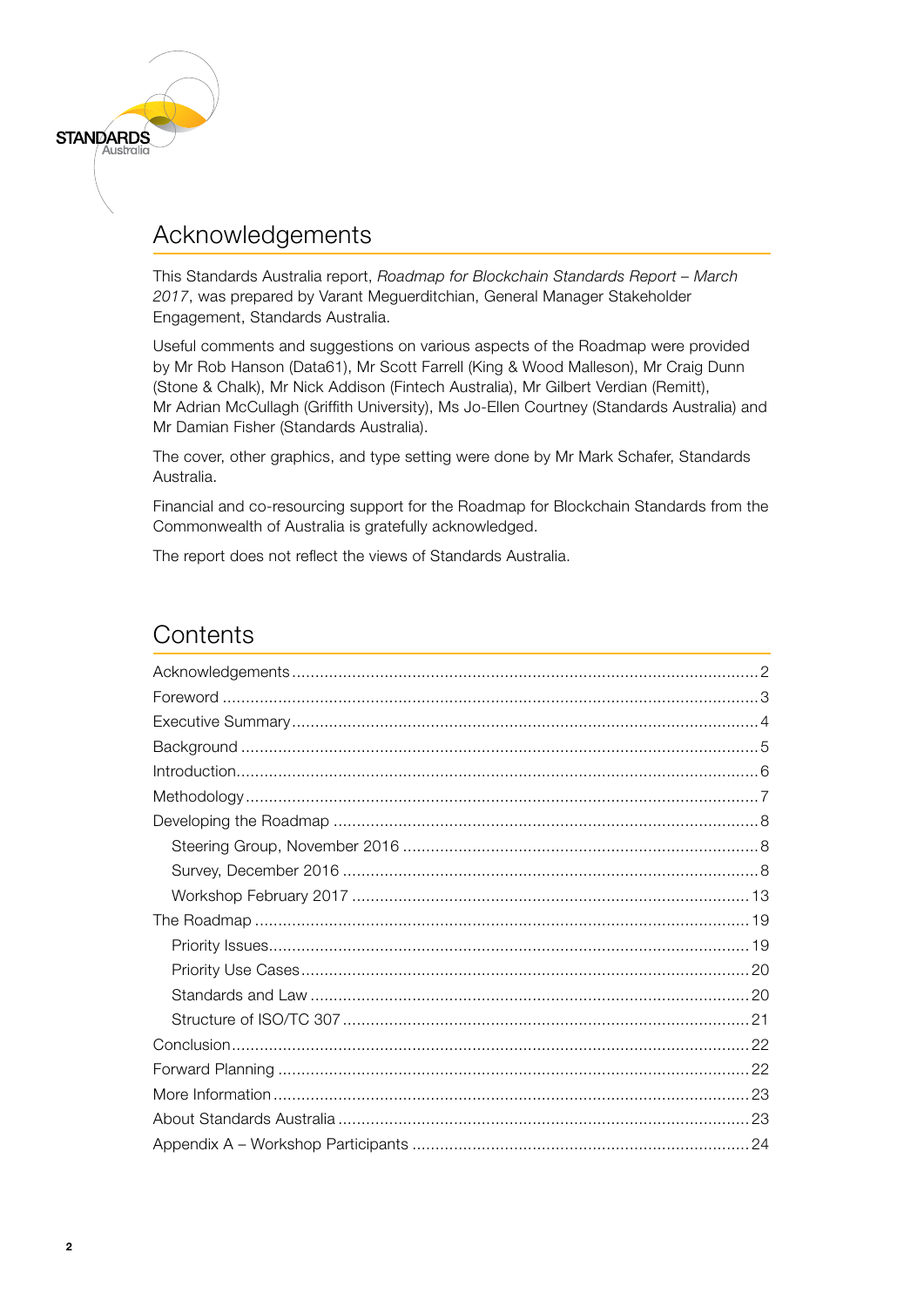

# Acknowledgements

This Standards Australia report, *Roadmap for Blockchain Standards Report – March 2017*, was prepared by Varant Meguerditchian, General Manager Stakeholder Engagement, Standards Australia.

Useful comments and suggestions on various aspects of the Roadmap were provided by Mr Rob Hanson (Data61), Mr Scott Farrell (King & Wood Malleson), Mr Craig Dunn (Stone & Chalk), Mr Nick Addison (Fintech Australia), Mr Gilbert Verdian (Remitt), Mr Adrian McCullagh (Griffith University), Ms Jo-Ellen Courtney (Standards Australia) and Mr Damian Fisher (Standards Australia).

The cover, other graphics, and type setting were done by Mr Mark Schafer, Standards Australia.

Financial and co-resourcing support for the Roadmap for Blockchain Standards from the Commonwealth of Australia is gratefully acknowledged.

The report does not reflect the views of Standards Australia.

# **Contents**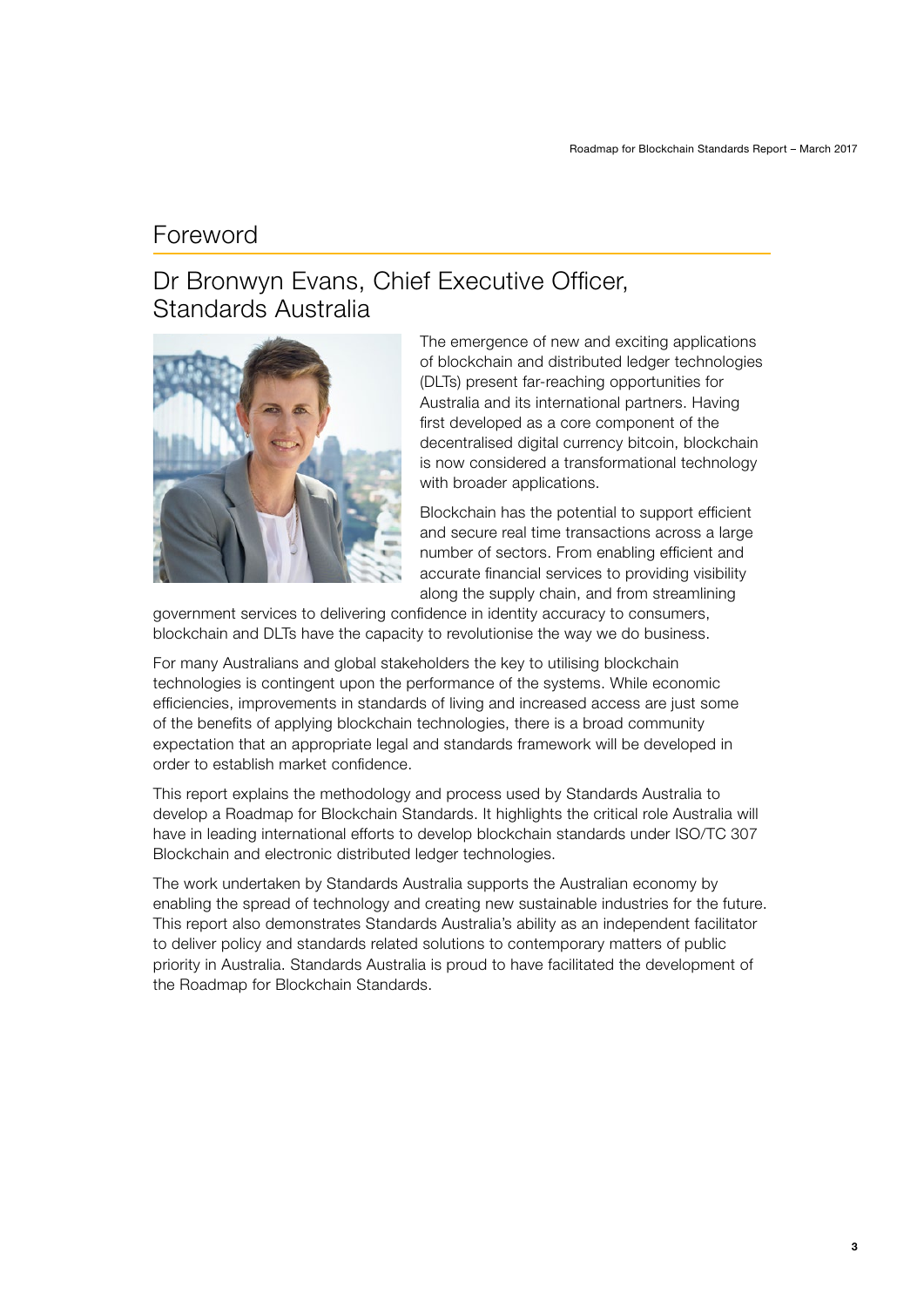### <span id="page-2-0"></span>Foreword

# Dr Bronwyn Evans, Chief Executive Officer, Standards Australia



The emergence of new and exciting applications of blockchain and distributed ledger technologies (DLTs) present far-reaching opportunities for Australia and its international partners. Having first developed as a core component of the decentralised digital currency bitcoin, blockchain is now considered a transformational technology with broader applications.

Blockchain has the potential to support efficient and secure real time transactions across a large number of sectors. From enabling efficient and accurate financial services to providing visibility along the supply chain, and from streamlining

government services to delivering confidence in identity accuracy to consumers, blockchain and DLTs have the capacity to revolutionise the way we do business.

For many Australians and global stakeholders the key to utilising blockchain technologies is contingent upon the performance of the systems. While economic efficiencies, improvements in standards of living and increased access are just some of the benefits of applying blockchain technologies, there is a broad community expectation that an appropriate legal and standards framework will be developed in order to establish market confidence.

This report explains the methodology and process used by Standards Australia to develop a Roadmap for Blockchain Standards. It highlights the critical role Australia will have in leading international efforts to develop blockchain standards under ISO/TC 307 Blockchain and electronic distributed ledger technologies.

The work undertaken by Standards Australia supports the Australian economy by enabling the spread of technology and creating new sustainable industries for the future. This report also demonstrates Standards Australia's ability as an independent facilitator to deliver policy and standards related solutions to contemporary matters of public priority in Australia. Standards Australia is proud to have facilitated the development of the Roadmap for Blockchain Standards.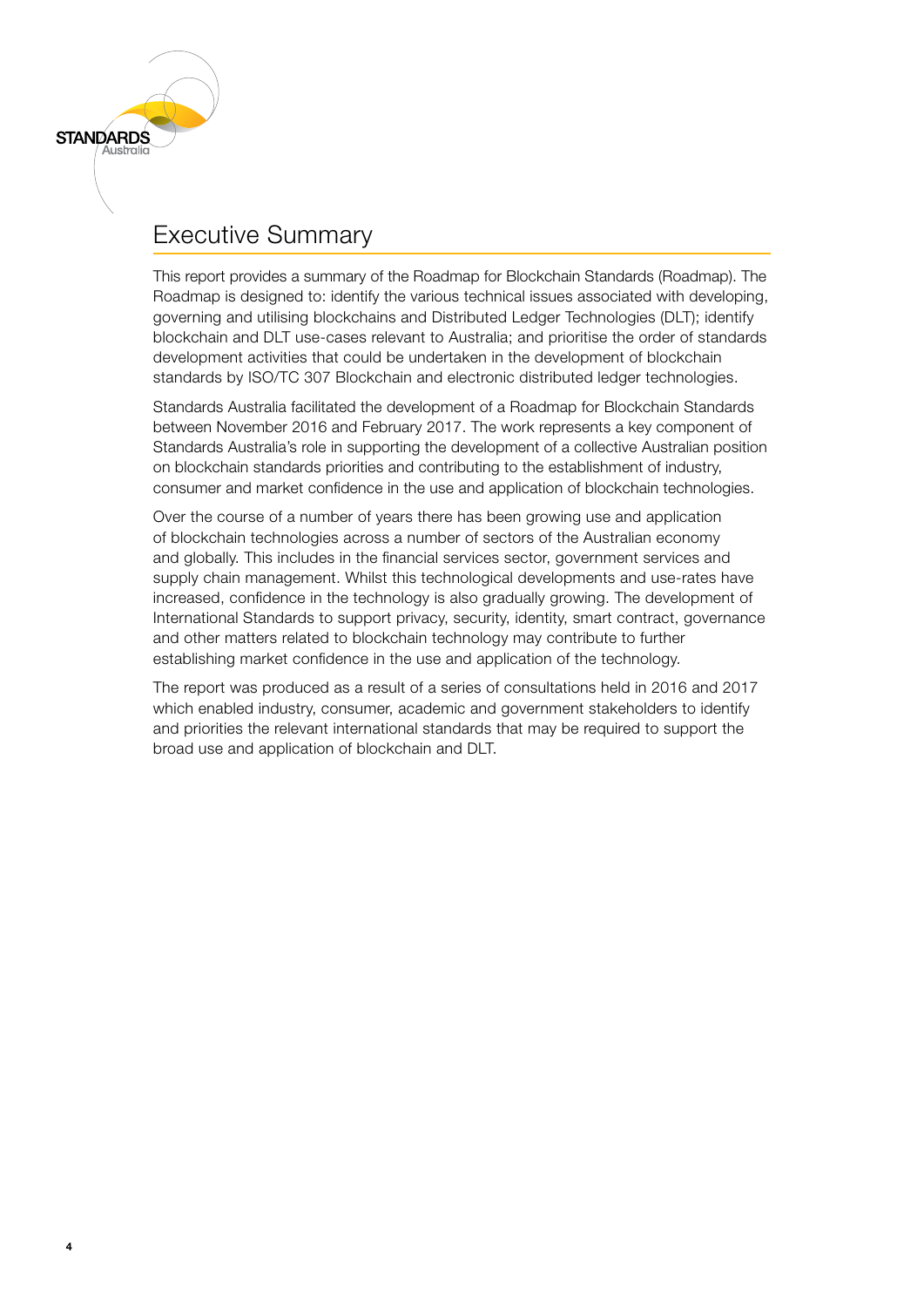

<span id="page-3-0"></span>**STANDARDS** 

This report provides a summary of the Roadmap for Blockchain Standards (Roadmap). The Roadmap is designed to: identify the various technical issues associated with developing, governing and utilising blockchains and Distributed Ledger Technologies (DLT); identify blockchain and DLT use-cases relevant to Australia; and prioritise the order of standards development activities that could be undertaken in the development of blockchain standards by ISO/TC 307 Blockchain and electronic distributed ledger technologies.

Standards Australia facilitated the development of a Roadmap for Blockchain Standards between November 2016 and February 2017. The work represents a key component of Standards Australia's role in supporting the development of a collective Australian position on blockchain standards priorities and contributing to the establishment of industry, consumer and market confidence in the use and application of blockchain technologies.

Over the course of a number of years there has been growing use and application of blockchain technologies across a number of sectors of the Australian economy and globally. This includes in the financial services sector, government services and supply chain management. Whilst this technological developments and use-rates have increased, confidence in the technology is also gradually growing. The development of International Standards to support privacy, security, identity, smart contract, governance and other matters related to blockchain technology may contribute to further establishing market confidence in the use and application of the technology.

The report was produced as a result of a series of consultations held in 2016 and 2017 which enabled industry, consumer, academic and government stakeholders to identify and priorities the relevant international standards that may be required to support the broad use and application of blockchain and DLT.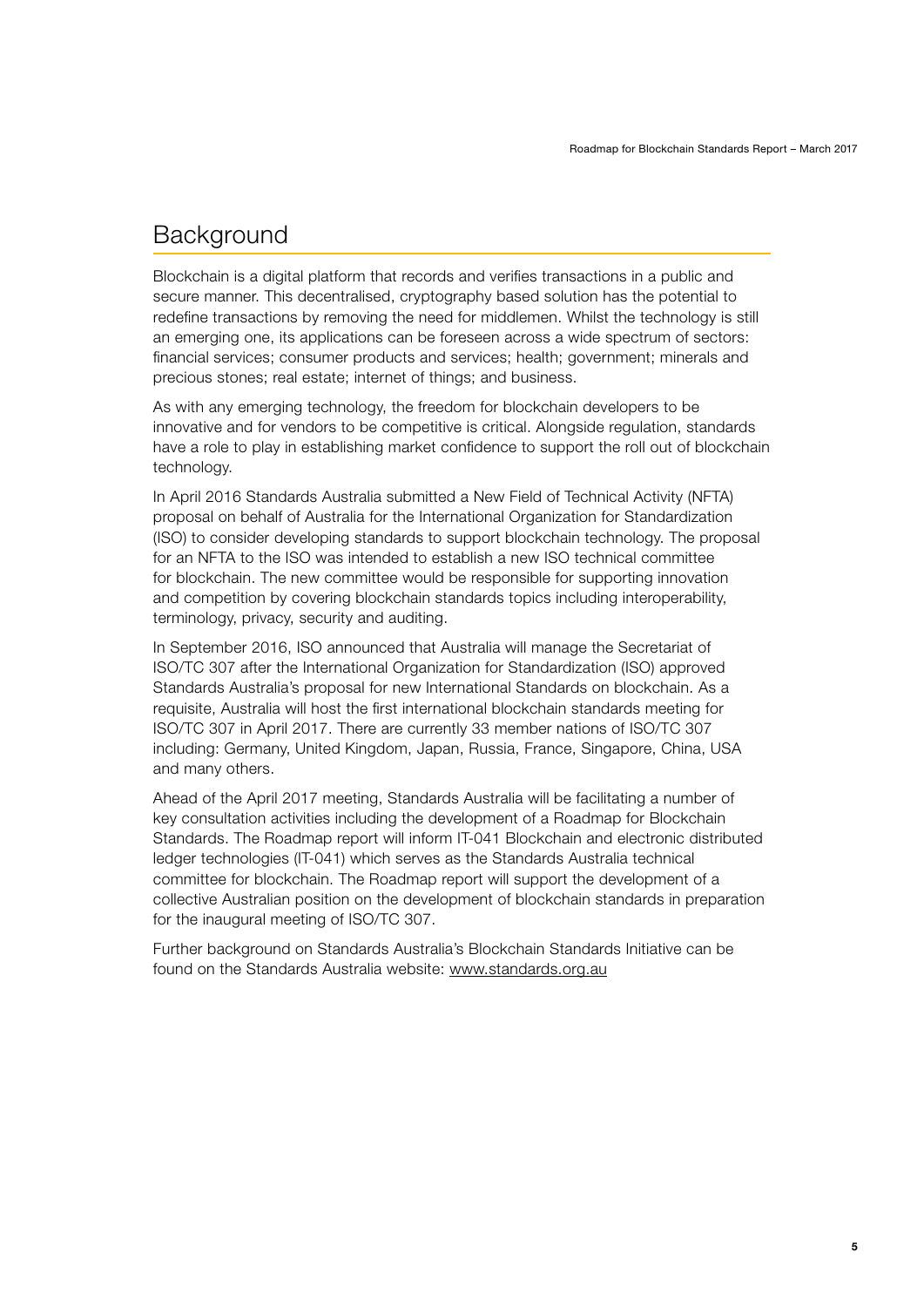## <span id="page-4-0"></span>**Background**

Blockchain is a digital platform that records and verifies transactions in a public and secure manner. This decentralised, cryptography based solution has the potential to redefine transactions by removing the need for middlemen. Whilst the technology is still an emerging one, its applications can be foreseen across a wide spectrum of sectors: financial services; consumer products and services; health; government; minerals and precious stones; real estate; internet of things; and business.

As with any emerging technology, the freedom for blockchain developers to be innovative and for vendors to be competitive is critical. Alongside regulation, standards have a role to play in establishing market confidence to support the roll out of blockchain technology.

In April 2016 Standards Australia submitted a New Field of Technical Activity (NFTA) proposal on behalf of Australia for the International Organization for Standardization (ISO) to consider developing standards to support blockchain technology. The proposal for an NFTA to the ISO was intended to establish a new ISO technical committee for blockchain. The new committee would be responsible for supporting innovation and competition by covering blockchain standards topics including interoperability, terminology, privacy, security and auditing.

In September 2016, ISO announced that Australia will manage the Secretariat of ISO/TC 307 after the International Organization for Standardization (ISO) approved Standards Australia's proposal for new International Standards on blockchain. As a requisite, Australia will host the first international blockchain standards meeting for ISO/TC 307 in April 2017. There are currently 33 member nations of ISO/TC 307 including: Germany, United Kingdom, Japan, Russia, France, Singapore, China, USA and many others.

Ahead of the April 2017 meeting, Standards Australia will be facilitating a number of key consultation activities including the development of a Roadmap for Blockchain Standards. The Roadmap report will inform IT-041 Blockchain and electronic distributed ledger technologies (IT-041) which serves as the Standards Australia technical committee for blockchain. The Roadmap report will support the development of a collective Australian position on the development of blockchain standards in preparation for the inaugural meeting of ISO/TC 307.

Further background on Standards Australia's Blockchain Standards Initiative can be found on the Standards Australia website: www.standards.org.au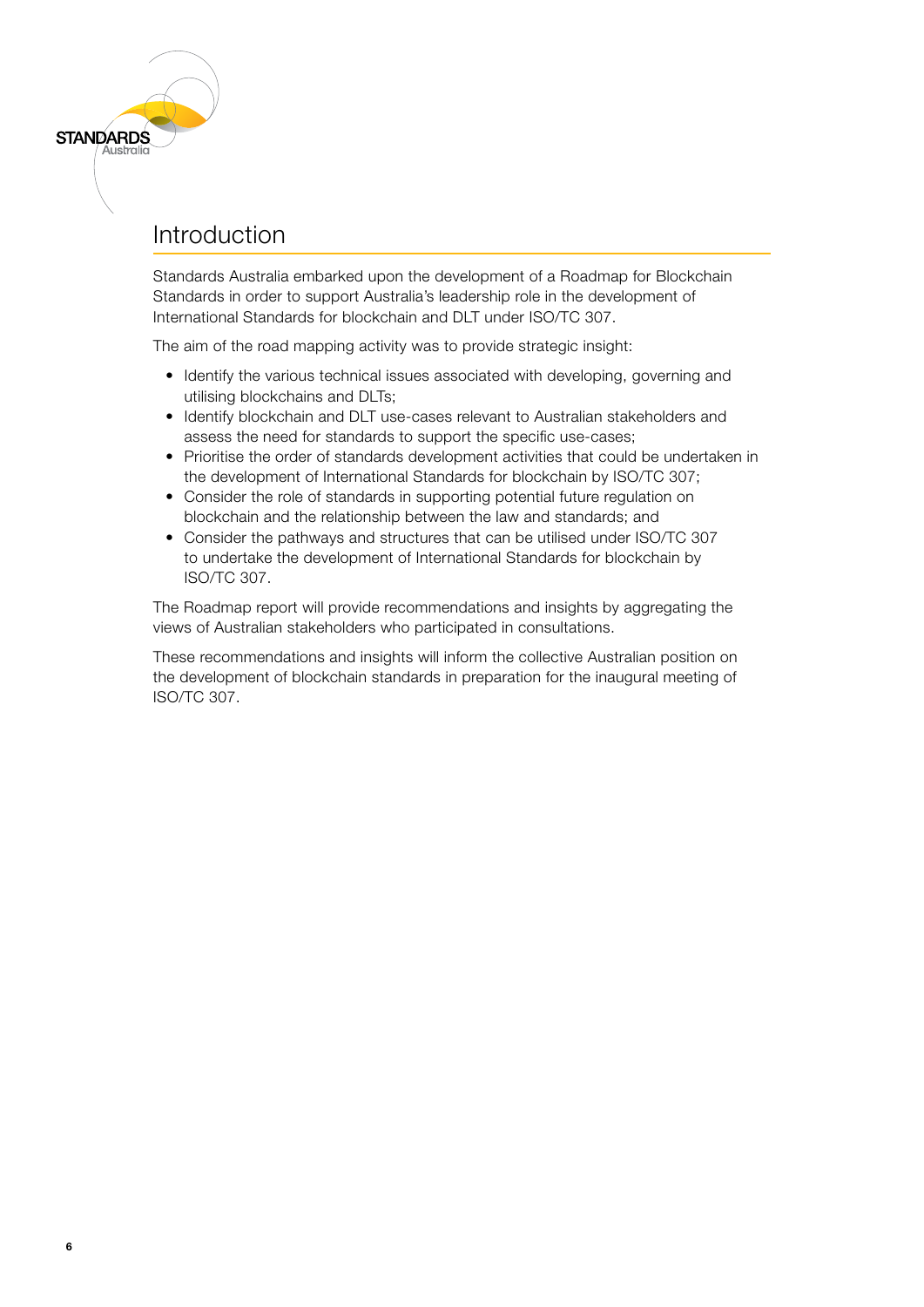### Introduction

<span id="page-5-0"></span>**STANDARDS** 

Standards Australia embarked upon the development of a Roadmap for Blockchain Standards in order to support Australia's leadership role in the development of International Standards for blockchain and DLT under ISO/TC 307.

The aim of the road mapping activity was to provide strategic insight:

- Identify the various technical issues associated with developing, governing and utilising blockchains and DLTs;
- Identify blockchain and DLT use-cases relevant to Australian stakeholders and assess the need for standards to support the specific use-cases;
- Prioritise the order of standards development activities that could be undertaken in the development of International Standards for blockchain by ISO/TC 307;
- Consider the role of standards in supporting potential future regulation on blockchain and the relationship between the law and standards; and
- Consider the pathways and structures that can be utilised under ISO/TC 307 to undertake the development of International Standards for blockchain by ISO/TC 307.

The Roadmap report will provide recommendations and insights by aggregating the views of Australian stakeholders who participated in consultations.

These recommendations and insights will inform the collective Australian position on the development of blockchain standards in preparation for the inaugural meeting of ISO/TC 307.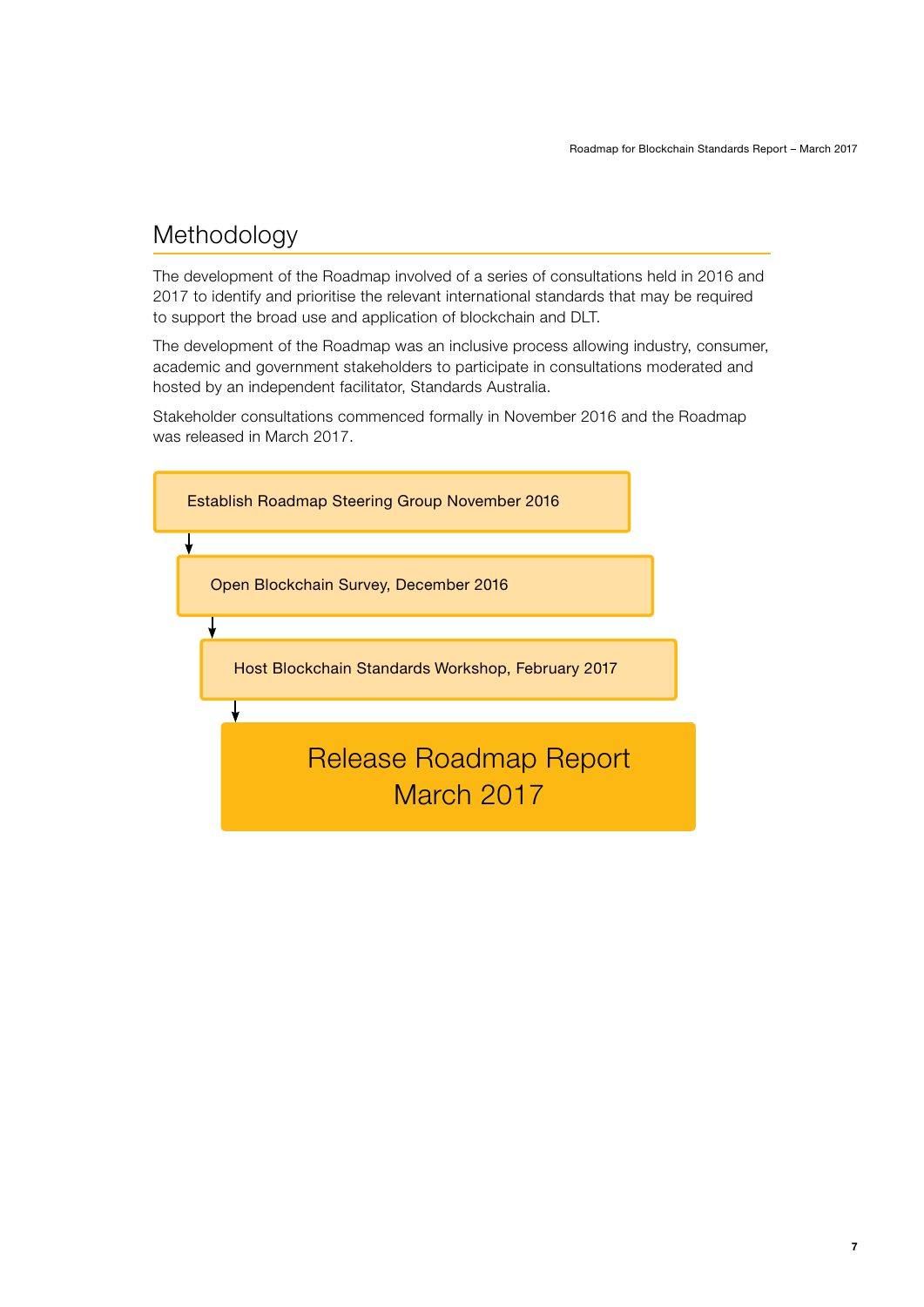# <span id="page-6-0"></span>Methodology

The development of the Roadmap involved of a series of consultations held in 2016 and 2017 to identify and prioritise the relevant international standards that may be required to support the broad use and application of blockchain and DLT.

The development of the Roadmap was an inclusive process allowing industry, consumer, academic and government stakeholders to participate in consultations moderated and hosted by an independent facilitator, Standards Australia.

Stakeholder consultations commenced formally in November 2016 and the Roadmap was released in March 2017.

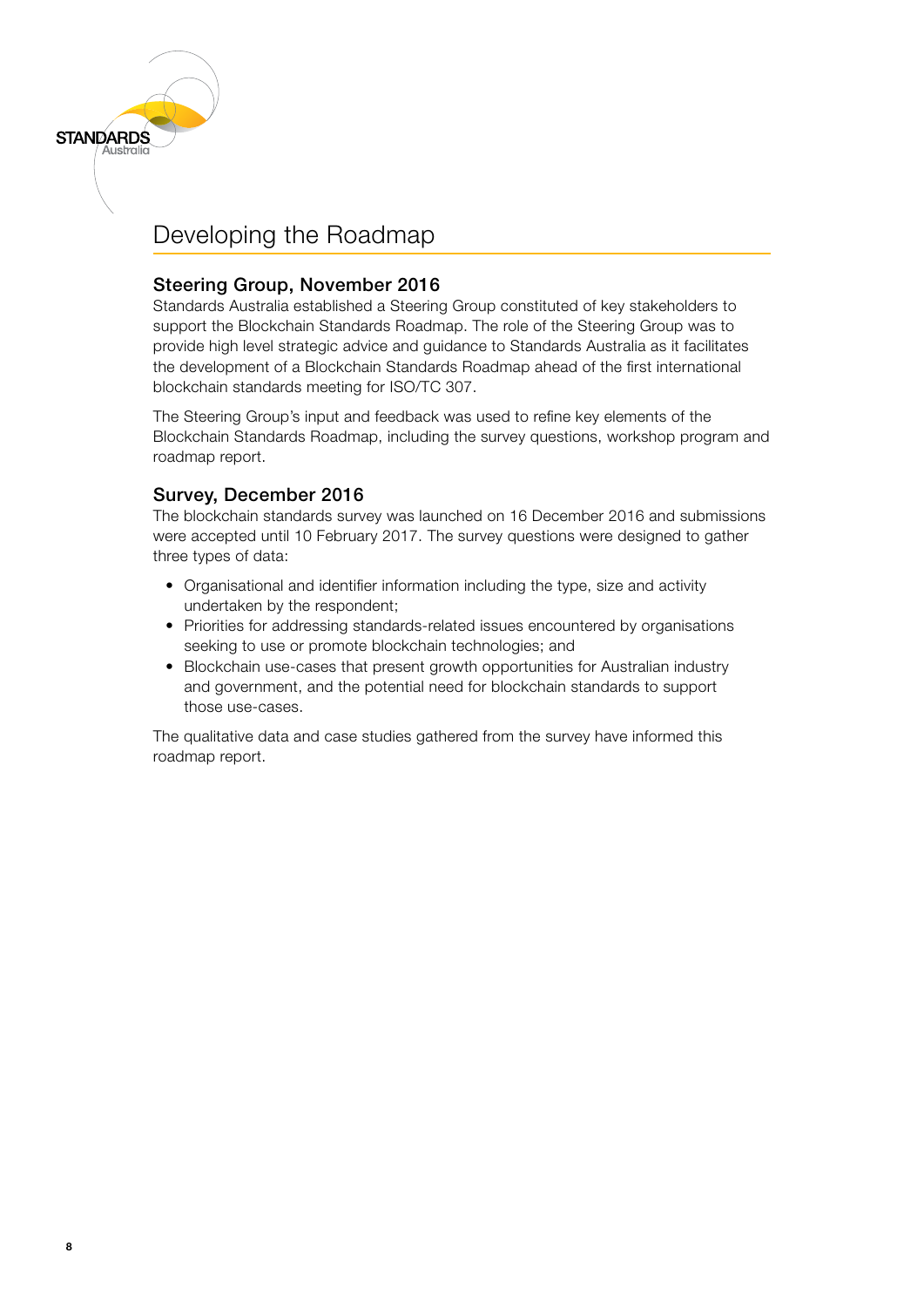# Developing the Roadmap

<span id="page-7-0"></span>**STANDARDS** 

### Steering Group, November 2016

Standards Australia established a Steering Group constituted of key stakeholders to support the Blockchain Standards Roadmap. The role of the Steering Group was to provide high level strategic advice and guidance to Standards Australia as it facilitates the development of a Blockchain Standards Roadmap ahead of the first international blockchain standards meeting for ISO/TC 307.

The Steering Group's input and feedback was used to refine key elements of the Blockchain Standards Roadmap, including the survey questions, workshop program and roadmap report.

### Survey, December 2016

The blockchain standards survey was launched on 16 December 2016 and submissions were accepted until 10 February 2017. The survey questions were designed to gather three types of data:

- Organisational and identifier information including the type, size and activity undertaken by the respondent;
- Priorities for addressing standards-related issues encountered by organisations seeking to use or promote blockchain technologies; and
- Blockchain use-cases that present growth opportunities for Australian industry and government, and the potential need for blockchain standards to support those use-cases.

The qualitative data and case studies gathered from the survey have informed this roadmap report.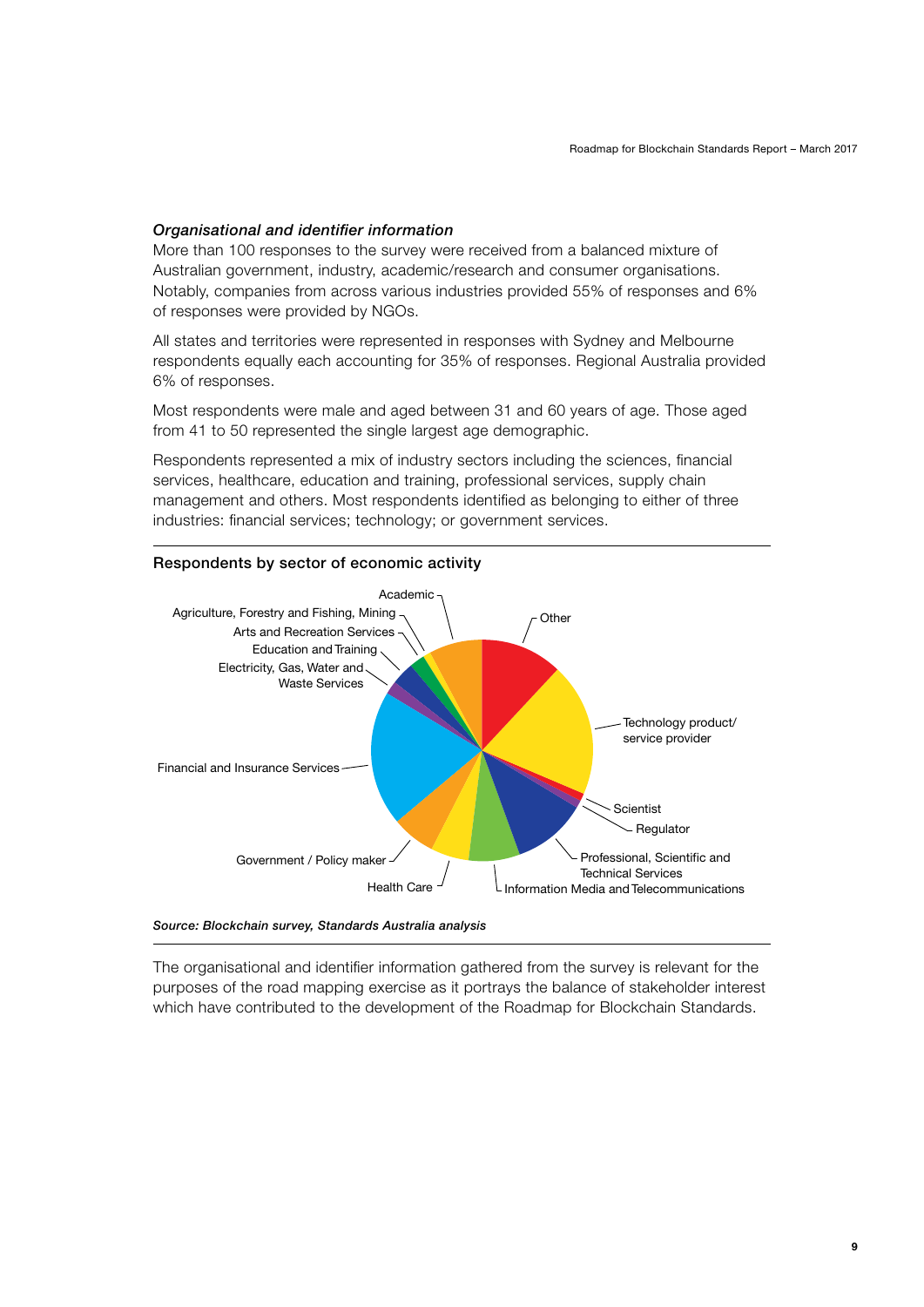#### *Organisational and identifier information*

More than 100 responses to the survey were received from a balanced mixture of Australian government, industry, academic/research and consumer organisations. Notably, companies from across various industries provided 55% of responses and 6% of responses were provided by NGOs.

All states and territories were represented in responses with Sydney and Melbourne respondents equally each accounting for 35% of responses. Regional Australia provided 6% of responses.

Most respondents were male and aged between 31 and 60 years of age. Those aged from 41 to 50 represented the single largest age demographic.

Respondents represented a mix of industry sectors including the sciences, financial services, healthcare, education and training, professional services, supply chain management and others. Most respondents identified as belonging to either of three industries: financial services; technology; or government services.



*Source: Blockchain survey, Standards Australia analysis*

The organisational and identifier information gathered from the survey is relevant for the purposes of the road mapping exercise as it portrays the balance of stakeholder interest which have contributed to the development of the Roadmap for Blockchain Standards.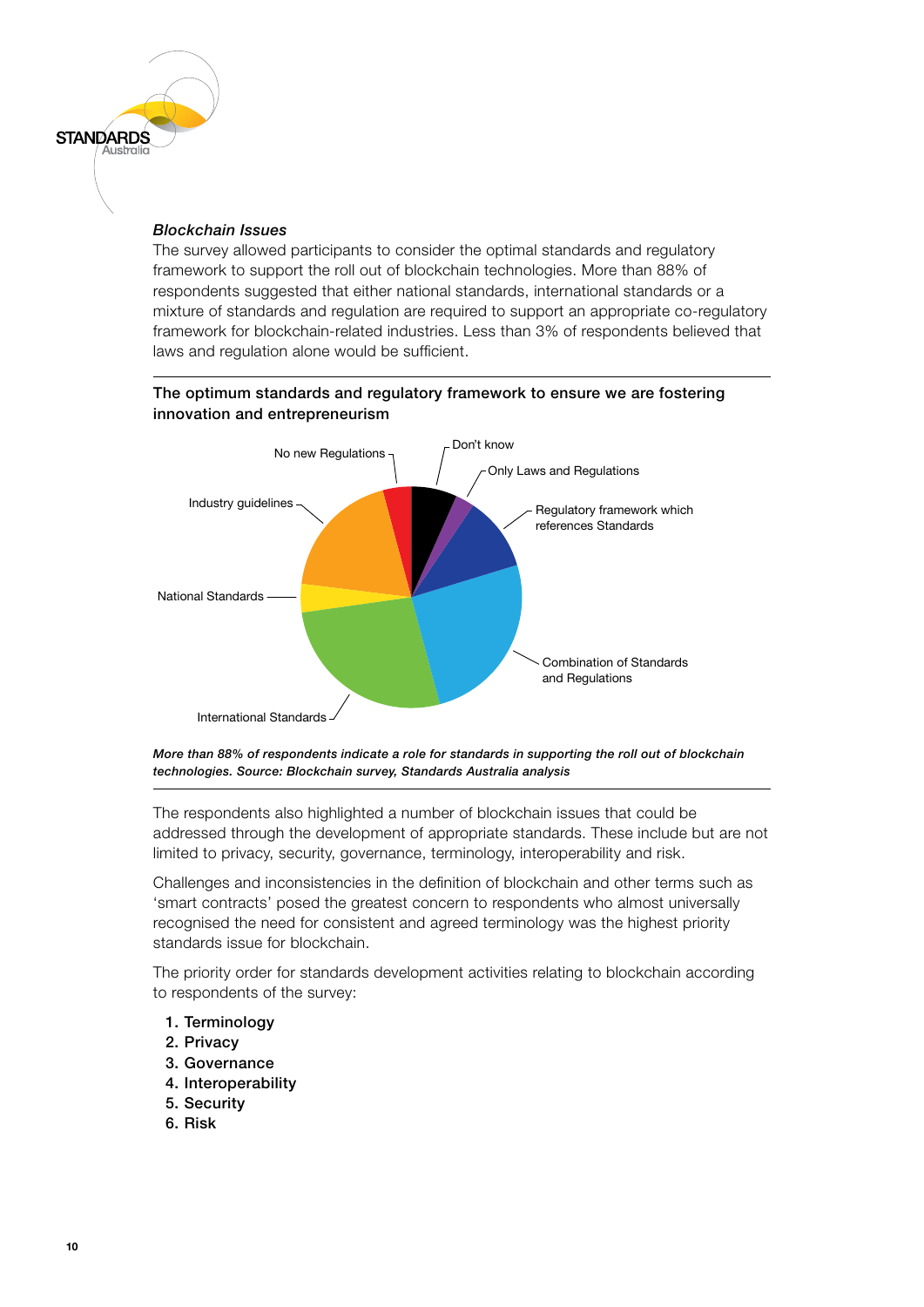#### *Blockchain Issues*

**STANDARDS** 

The survey allowed participants to consider the optimal standards and regulatory framework to support the roll out of blockchain technologies. More than 88% of respondents suggested that either national standards, international standards or a mixture of standards and regulation are required to support an appropriate co-regulatory framework for blockchain-related industries. Less than 3% of respondents believed that laws and regulation alone would be sufficient.

#### The optimum standards and regulatory framework to ensure we are fostering innovation and entrepreneurism





The respondents also highlighted a number of blockchain issues that could be addressed through the development of appropriate standards. These include but are not limited to privacy, security, governance, terminology, interoperability and risk.

Challenges and inconsistencies in the definition of blockchain and other terms such as 'smart contracts' posed the greatest concern to respondents who almost universally recognised the need for consistent and agreed terminology was the highest priority standards issue for blockchain.

The priority order for standards development activities relating to blockchain according to respondents of the survey:

- 1. Terminology
- 2. Privacy
- 3. Governance
- 4. Interoperability
- 5. Security
- 6. Risk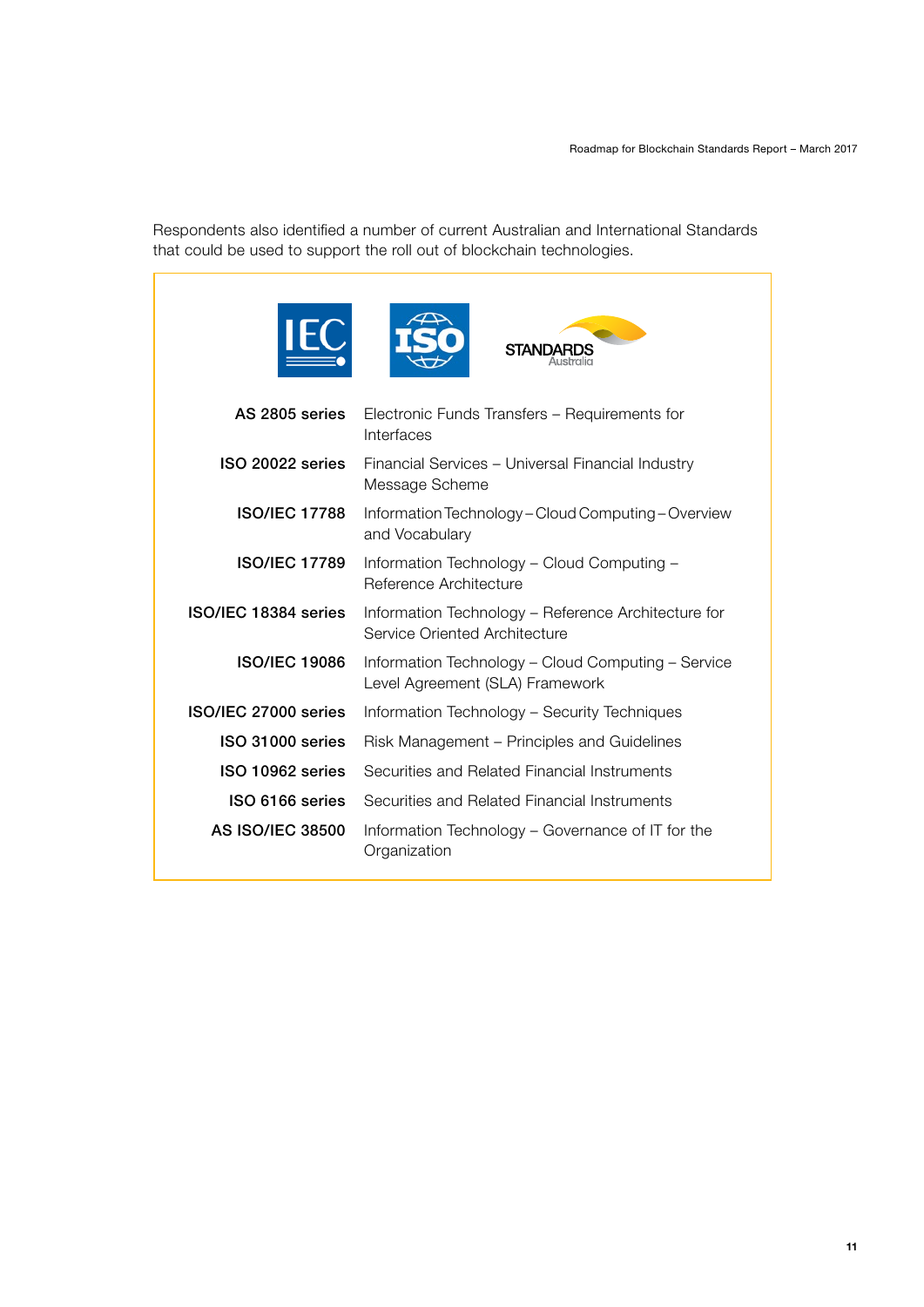Respondents also identified a number of current Australian and International Standards that could be used to support the roll out of blockchain technologies.

|                         | <b>STANDARDS</b>                                                                      |  |  |
|-------------------------|---------------------------------------------------------------------------------------|--|--|
| AS 2805 series          | Electronic Funds Transfers - Requirements for<br>Interfaces                           |  |  |
| ISO 20022 series        | Financial Services - Universal Financial Industry<br>Message Scheme                   |  |  |
| <b>ISO/IEC 17788</b>    | Information Technology - Cloud Computing - Overview<br>and Vocabulary                 |  |  |
| <b>ISO/IEC 17789</b>    | Information Technology - Cloud Computing -<br>Reference Architecture                  |  |  |
| ISO/IEC 18384 series    | Information Technology - Reference Architecture for<br>Service Oriented Architecture  |  |  |
| <b>ISO/IEC 19086</b>    | Information Technology - Cloud Computing - Service<br>Level Agreement (SLA) Framework |  |  |
| ISO/IEC 27000 series    | Information Technology - Security Techniques                                          |  |  |
| ISO 31000 series        | Risk Management – Principles and Guidelines                                           |  |  |
| ISO 10962 series        | Securities and Related Financial Instruments                                          |  |  |
| ISO 6166 series         | Securities and Related Financial Instruments                                          |  |  |
| <b>AS ISO/IEC 38500</b> | Information Technology – Governance of IT for the<br>Organization                     |  |  |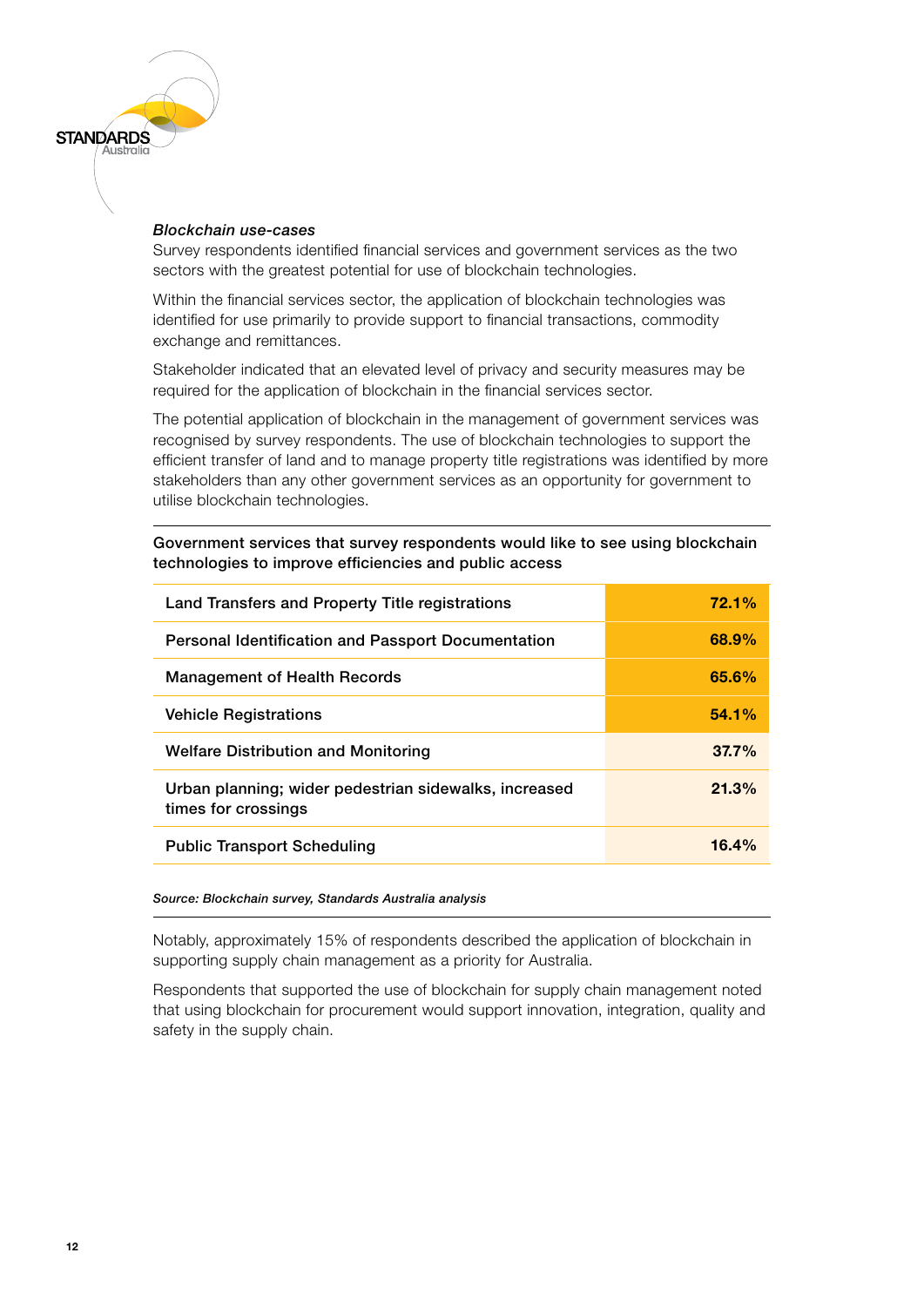### *Blockchain use-cases*

**STANDARDS** 

Survey respondents identified financial services and government services as the two sectors with the greatest potential for use of blockchain technologies.

Within the financial services sector, the application of blockchain technologies was identified for use primarily to provide support to financial transactions, commodity exchange and remittances.

Stakeholder indicated that an elevated level of privacy and security measures may be required for the application of blockchain in the financial services sector.

The potential application of blockchain in the management of government services was recognised by survey respondents. The use of blockchain technologies to support the efficient transfer of land and to manage property title registrations was identified by more stakeholders than any other government services as an opportunity for government to utilise blockchain technologies.

#### Government services that survey respondents would like to see using blockchain technologies to improve efficiencies and public access

| Land Transfers and Property Title registrations                              | 72.1%    |
|------------------------------------------------------------------------------|----------|
| Personal Identification and Passport Documentation                           | 68.9%    |
| <b>Management of Health Records</b>                                          | 65.6%    |
| <b>Vehicle Registrations</b>                                                 | 54.1%    |
| <b>Welfare Distribution and Monitoring</b>                                   | $37.7\%$ |
| Urban planning; wider pedestrian sidewalks, increased<br>times for crossings | 21.3%    |
| <b>Public Transport Scheduling</b>                                           | 16.4%    |

#### *Source: Blockchain survey, Standards Australia analysis*

Notably, approximately 15% of respondents described the application of blockchain in supporting supply chain management as a priority for Australia.

Respondents that supported the use of blockchain for supply chain management noted that using blockchain for procurement would support innovation, integration, quality and safety in the supply chain.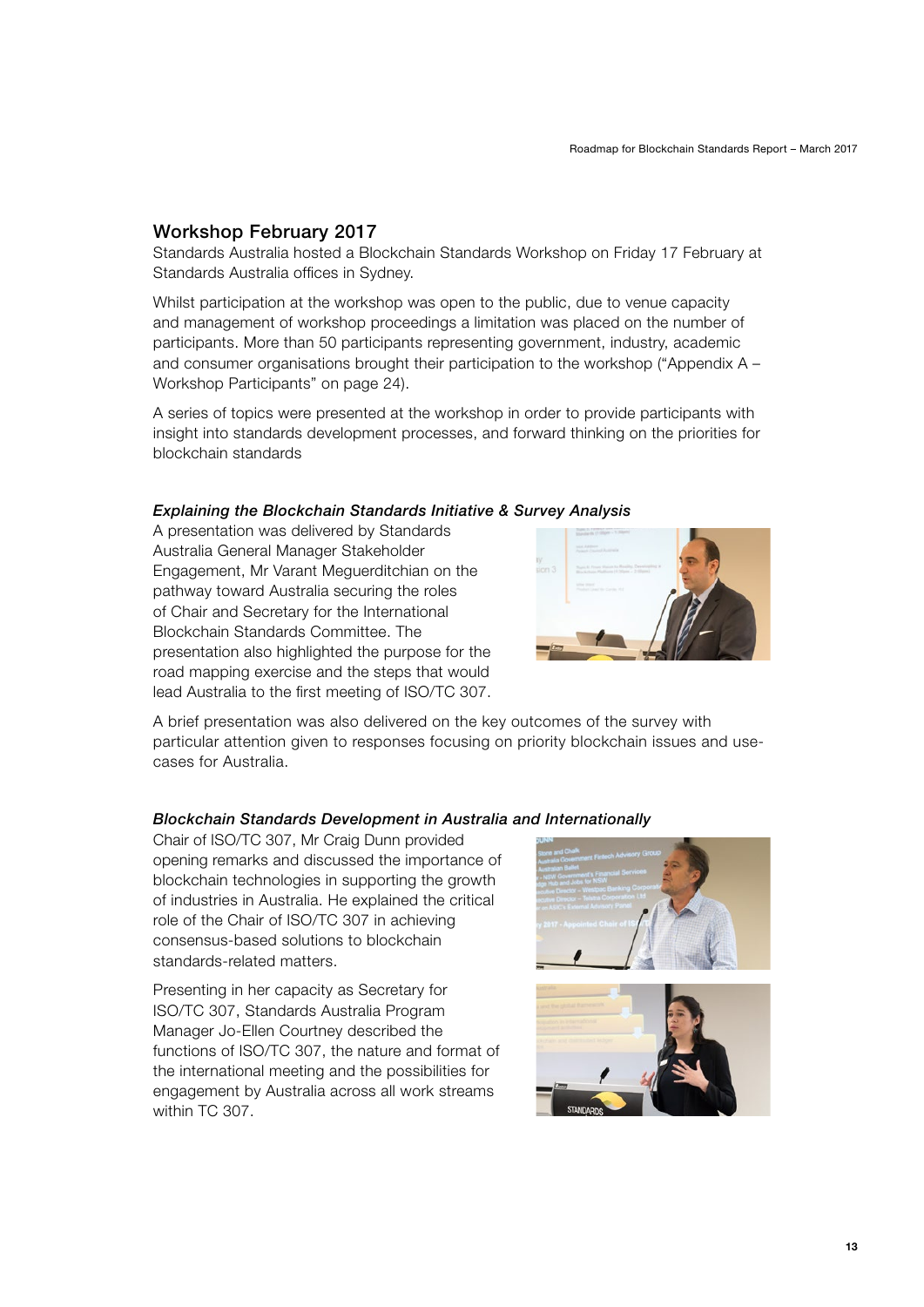### <span id="page-12-0"></span>Workshop February 2017

Standards Australia hosted a Blockchain Standards Workshop on Friday 17 February at Standards Australia offices in Sydney.

Whilst participation at the workshop was open to the public, due to venue capacity and management of workshop proceedings a limitation was placed on the number of participants. More than 50 participants representing government, industry, academic and consumer organisations brought their participation to the workshop [\("Appendix A –](#page-23-1)  [Workshop Participants" on page 24\)](#page-23-1).

A series of topics were presented at the workshop in order to provide participants with insight into standards development processes, and forward thinking on the priorities for blockchain standards

#### *Explaining the Blockchain Standards Initiative & Survey Analysis*

A presentation was delivered by Standards Australia General Manager Stakeholder Engagement, Mr Varant Meguerditchian on the pathway toward Australia securing the roles of Chair and Secretary for the International Blockchain Standards Committee. The presentation also highlighted the purpose for the road mapping exercise and the steps that would lead Australia to the first meeting of ISO/TC 307.



A brief presentation was also delivered on the key outcomes of the survey with particular attention given to responses focusing on priority blockchain issues and usecases for Australia.

#### *Blockchain Standards Development in Australia and Internationally*

Chair of ISO/TC 307, Mr Craig Dunn provided opening remarks and discussed the importance of blockchain technologies in supporting the growth of industries in Australia. He explained the critical role of the Chair of ISO/TC 307 in achieving consensus-based solutions to blockchain standards-related matters.

Presenting in her capacity as Secretary for ISO/TC 307, Standards Australia Program Manager Jo-Ellen Courtney described the functions of ISO/TC 307, the nature and format of the international meeting and the possibilities for engagement by Australia across all work streams within TC 307.



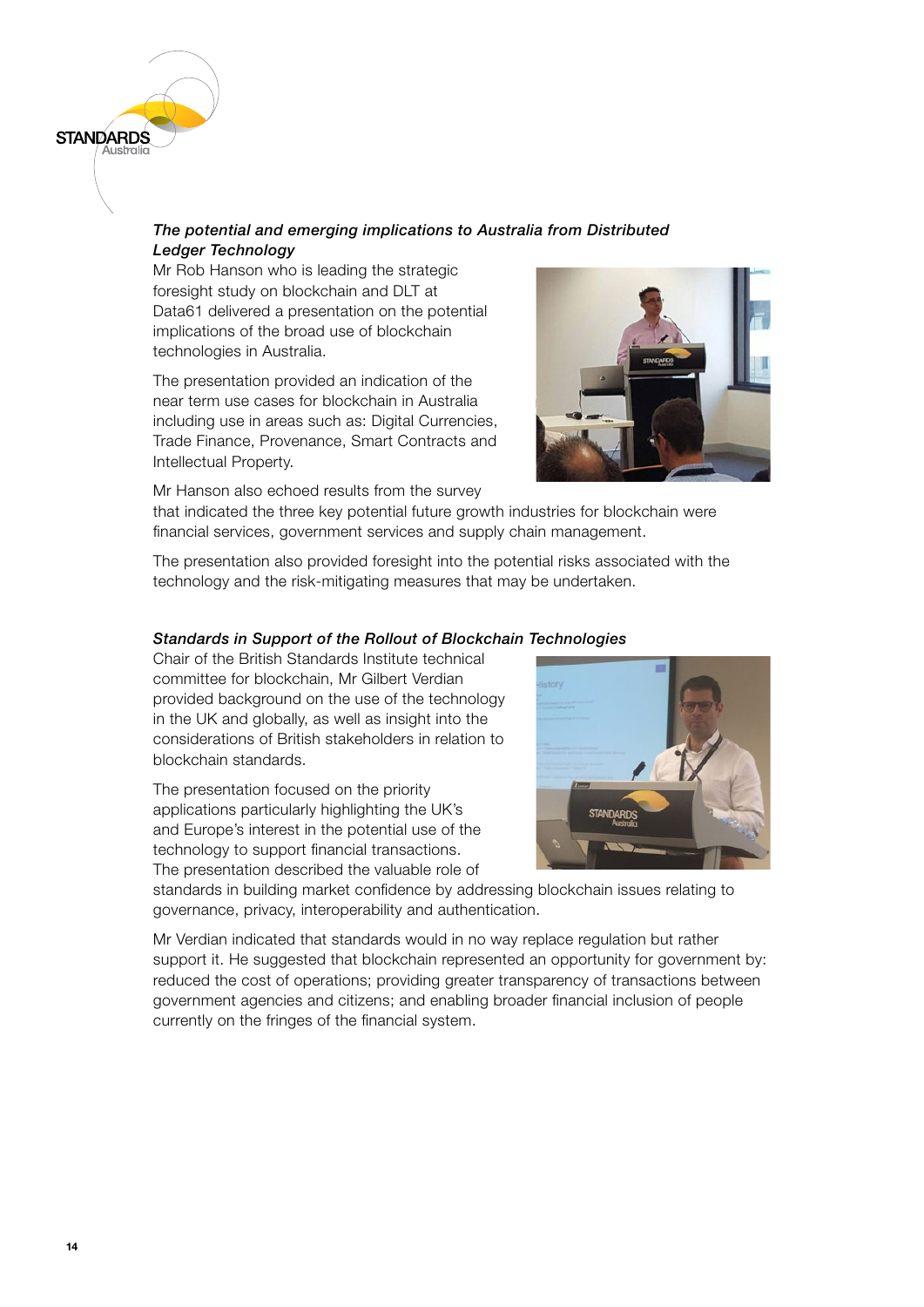

### *The potential and emerging implications to Australia from Distributed Ledger Technology*

Mr Rob Hanson who is leading the strategic foresight study on blockchain and DLT at Data61 delivered a presentation on the potential implications of the broad use of blockchain technologies in Australia.

The presentation provided an indication of the near term use cases for blockchain in Australia including use in areas such as: Digital Currencies, Trade Finance, Provenance, Smart Contracts and Intellectual Property.



Mr Hanson also echoed results from the survey

that indicated the three key potential future growth industries for blockchain were financial services, government services and supply chain management.

The presentation also provided foresight into the potential risks associated with the technology and the risk-mitigating measures that may be undertaken.

### *Standards in Support of the Rollout of Blockchain Technologies*

Chair of the British Standards Institute technical committee for blockchain, Mr Gilbert Verdian provided background on the use of the technology in the UK and globally, as well as insight into the considerations of British stakeholders in relation to blockchain standards.

The presentation focused on the priority applications particularly highlighting the UK's and Europe's interest in the potential use of the technology to support financial transactions. The presentation described the valuable role of



standards in building market confidence by addressing blockchain issues relating to governance, privacy, interoperability and authentication.

Mr Verdian indicated that standards would in no way replace regulation but rather support it. He suggested that blockchain represented an opportunity for government by: reduced the cost of operations; providing greater transparency of transactions between government agencies and citizens; and enabling broader financial inclusion of people currently on the fringes of the financial system.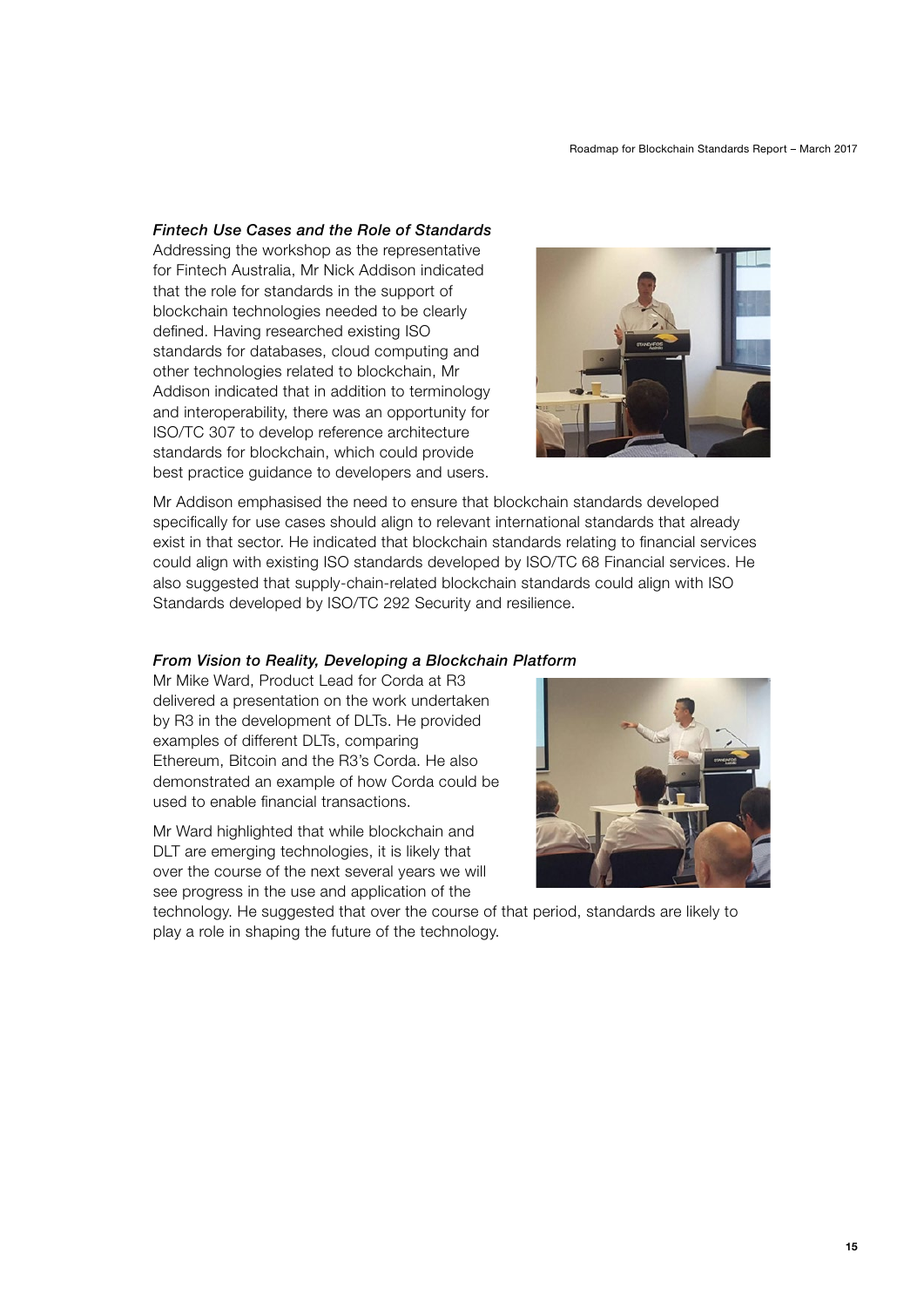#### *Fintech Use Cases and the Role of Standards*

Addressing the workshop as the representative for Fintech Australia, Mr Nick Addison indicated that the role for standards in the support of blockchain technologies needed to be clearly defined. Having researched existing ISO standards for databases, cloud computing and other technologies related to blockchain, Mr Addison indicated that in addition to terminology and interoperability, there was an opportunity for ISO/TC 307 to develop reference architecture standards for blockchain, which could provide best practice guidance to developers and users.



Mr Addison emphasised the need to ensure that blockchain standards developed specifically for use cases should align to relevant international standards that already exist in that sector. He indicated that blockchain standards relating to financial services could align with existing ISO standards developed by ISO/TC 68 Financial services. He also suggested that supply-chain-related blockchain standards could align with ISO Standards developed by ISO/TC 292 Security and resilience.

#### *From Vision to Reality, Developing a Blockchain Platform*

Mr Mike Ward, Product Lead for Corda at R3 delivered a presentation on the work undertaken by R3 in the development of DLTs. He provided examples of different DLTs, comparing Ethereum, Bitcoin and the R3's Corda. He also demonstrated an example of how Corda could be used to enable financial transactions.

Mr Ward highlighted that while blockchain and DLT are emerging technologies, it is likely that over the course of the next several years we will see progress in the use and application of the



technology. He suggested that over the course of that period, standards are likely to play a role in shaping the future of the technology.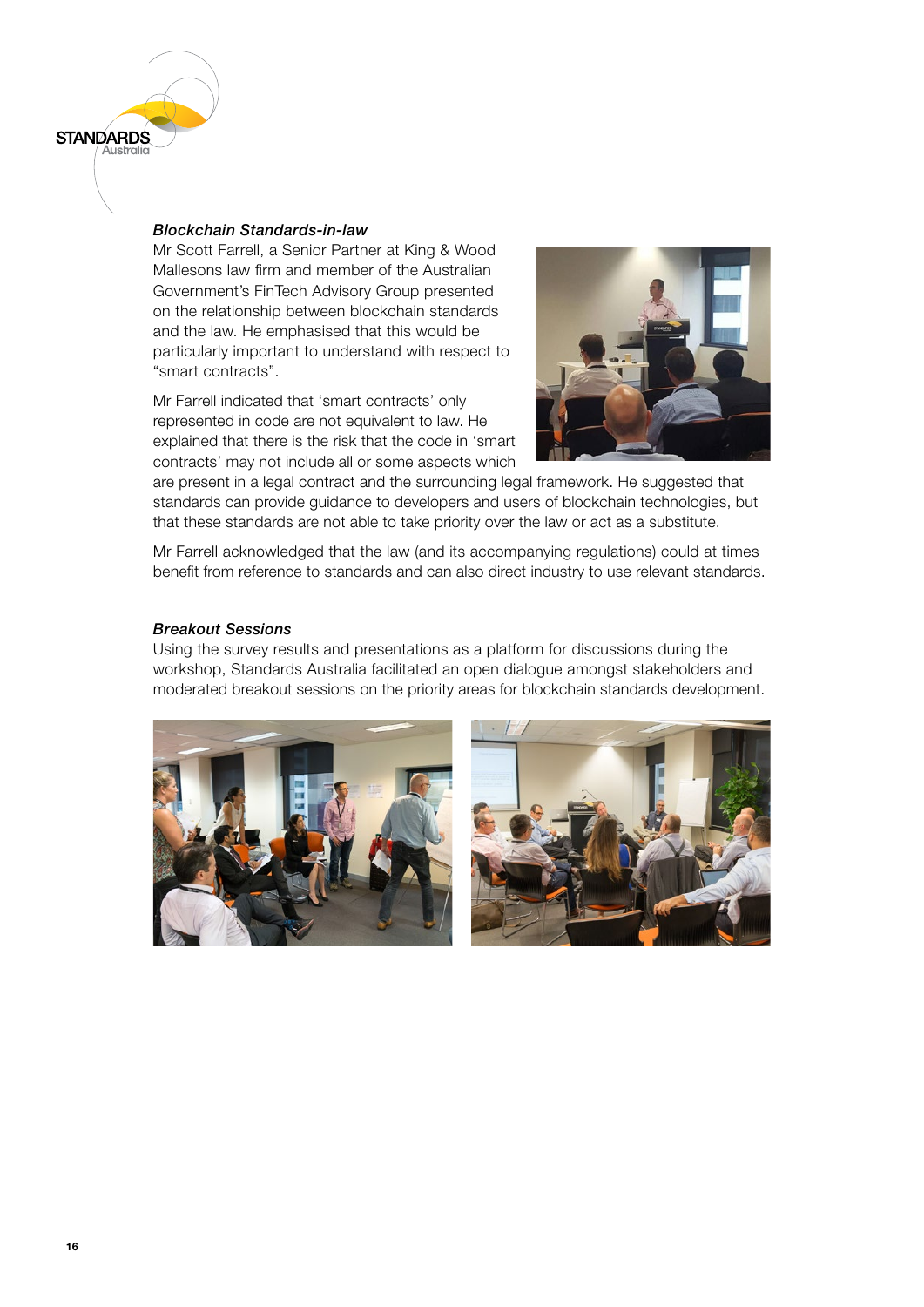#### *Blockchain Standards-in-law*

**STANDARDS** 

Mr Scott Farrell, a Senior Partner at King & Wood Mallesons law firm and member of the Australian Government's FinTech Advisory Group presented on the relationship between blockchain standards and the law. He emphasised that this would be particularly important to understand with respect to "smart contracts".

Mr Farrell indicated that 'smart contracts' only represented in code are not equivalent to law. He explained that there is the risk that the code in 'smart contracts' may not include all or some aspects which



are present in a legal contract and the surrounding legal framework. He suggested that standards can provide guidance to developers and users of blockchain technologies, but that these standards are not able to take priority over the law or act as a substitute.

Mr Farrell acknowledged that the law (and its accompanying regulations) could at times benefit from reference to standards and can also direct industry to use relevant standards.

#### *Breakout Sessions*

Using the survey results and presentations as a platform for discussions during the workshop, Standards Australia facilitated an open dialogue amongst stakeholders and moderated breakout sessions on the priority areas for blockchain standards development.



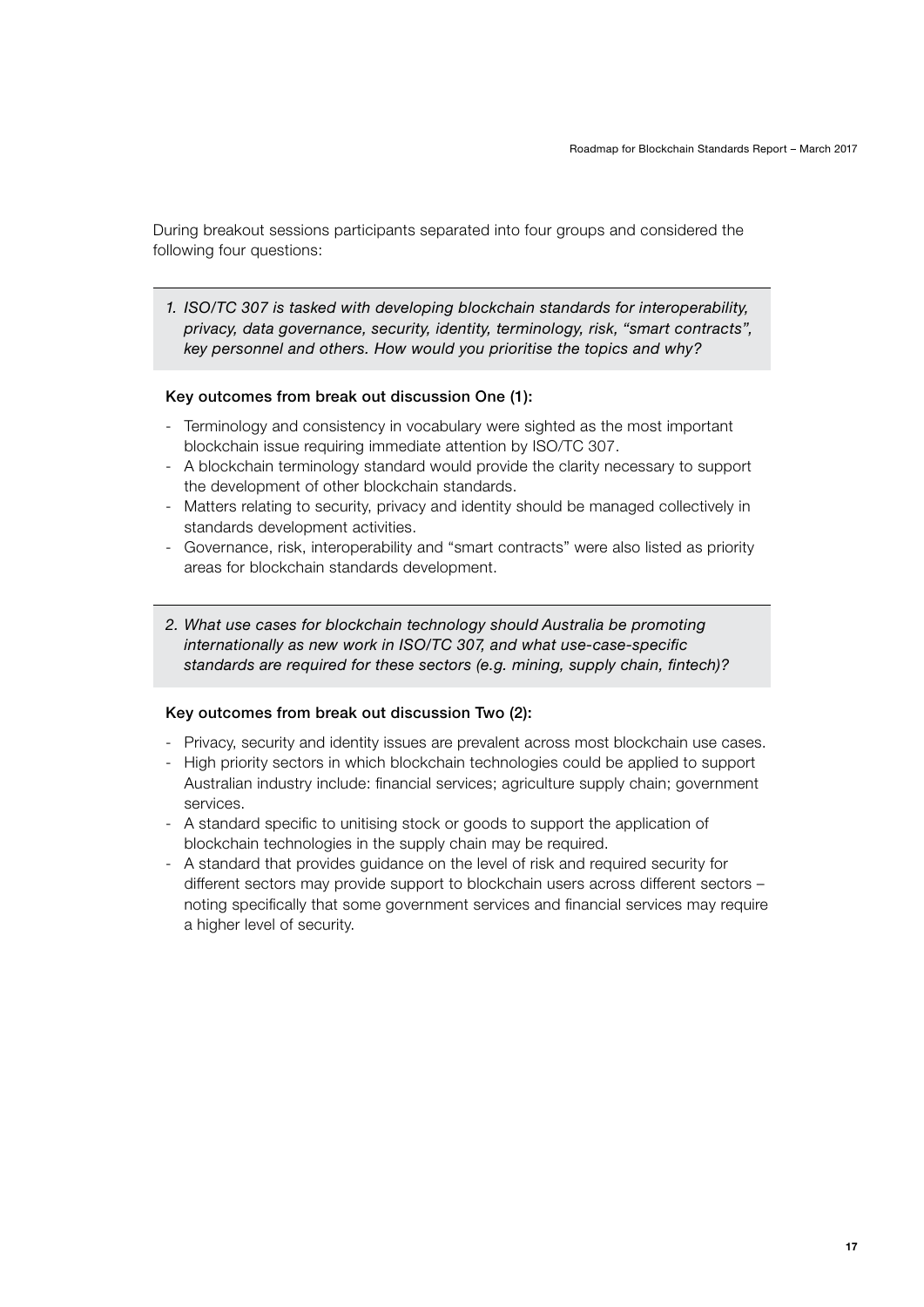During breakout sessions participants separated into four groups and considered the following four questions:

*1. ISO/TC 307 is tasked with developing blockchain standards for interoperability, privacy, data governance, security, identity, terminology, risk, "smart contracts", key personnel and others. How would you prioritise the topics and why?*

#### Key outcomes from break out discussion One (1):

- Terminology and consistency in vocabulary were sighted as the most important blockchain issue requiring immediate attention by ISO/TC 307.
- A blockchain terminology standard would provide the clarity necessary to support the development of other blockchain standards.
- Matters relating to security, privacy and identity should be managed collectively in standards development activities.
- Governance, risk, interoperability and "smart contracts" were also listed as priority areas for blockchain standards development.
- *2. What use cases for blockchain technology should Australia be promoting internationally as new work in ISO/TC 307, and what use-case-specific standards are required for these sectors (e.g. mining, supply chain, fintech)?*

#### Key outcomes from break out discussion Two (2):

- Privacy, security and identity issues are prevalent across most blockchain use cases.
- High priority sectors in which blockchain technologies could be applied to support Australian industry include: financial services; agriculture supply chain; government services.
- A standard specific to unitising stock or goods to support the application of blockchain technologies in the supply chain may be required.
- A standard that provides guidance on the level of risk and required security for different sectors may provide support to blockchain users across different sectors – noting specifically that some government services and financial services may require a higher level of security.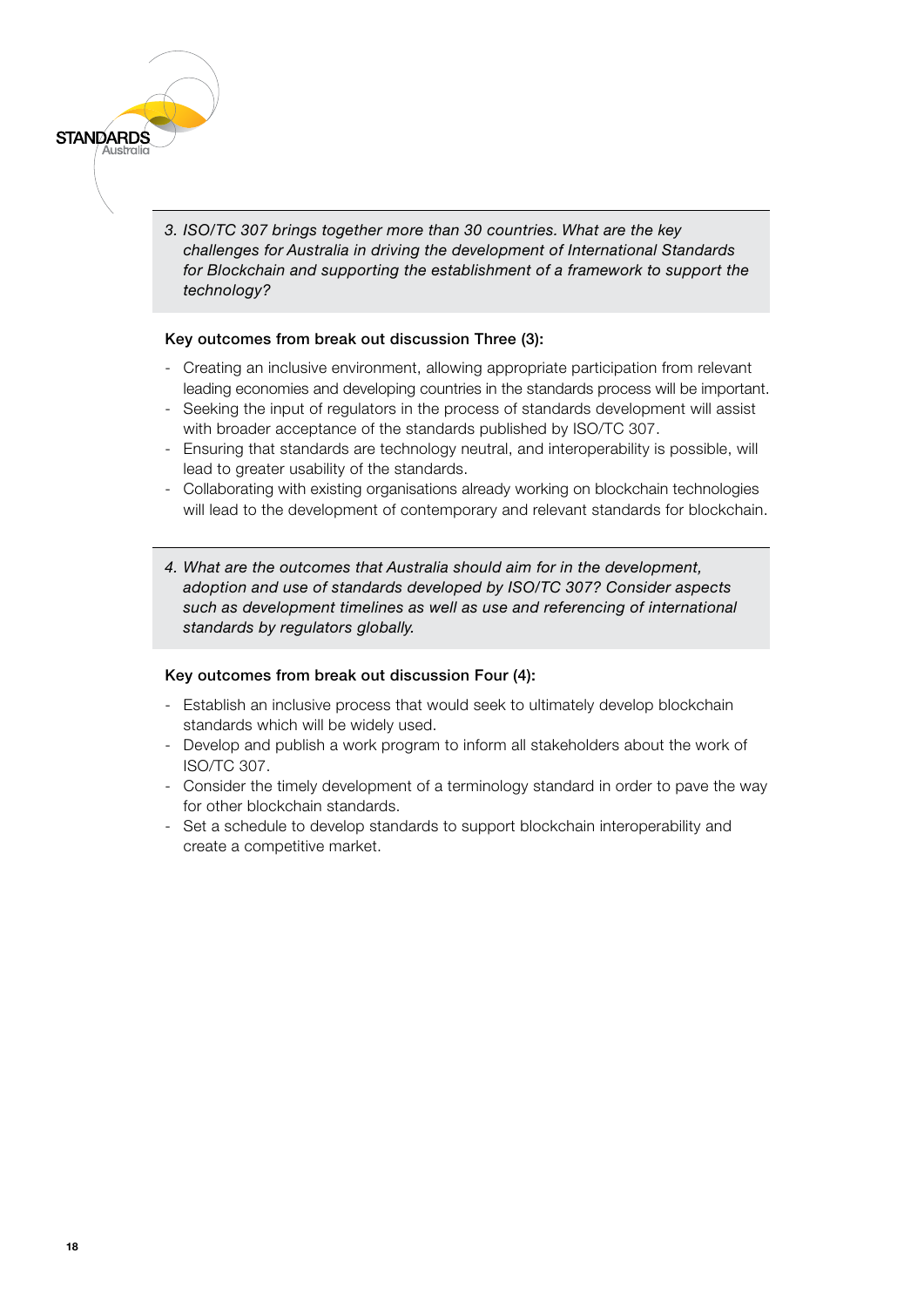*3. ISO/TC 307 brings together more than 30 countries. What are the key challenges for Australia in driving the development of International Standards for Blockchain and supporting the establishment of a framework to support the technology?*

#### Key outcomes from break out discussion Three (3):

- Creating an inclusive environment, allowing appropriate participation from relevant leading economies and developing countries in the standards process will be important.
- Seeking the input of regulators in the process of standards development will assist with broader acceptance of the standards published by ISO/TC 307.
- Ensuring that standards are technology neutral, and interoperability is possible, will lead to greater usability of the standards.
- Collaborating with existing organisations already working on blockchain technologies will lead to the development of contemporary and relevant standards for blockchain.
- *4. What are the outcomes that Australia should aim for in the development, adoption and use of standards developed by ISO/TC 307? Consider aspects such as development timelines as well as use and referencing of international standards by regulators globally.*

#### Key outcomes from break out discussion Four (4):

- Establish an inclusive process that would seek to ultimately develop blockchain standards which will be widely used.
- Develop and publish a work program to inform all stakeholders about the work of ISO/TC 307.
- Consider the timely development of a terminology standard in order to pave the way for other blockchain standards.
- Set a schedule to develop standards to support blockchain interoperability and create a competitive market.

**STANDARDS**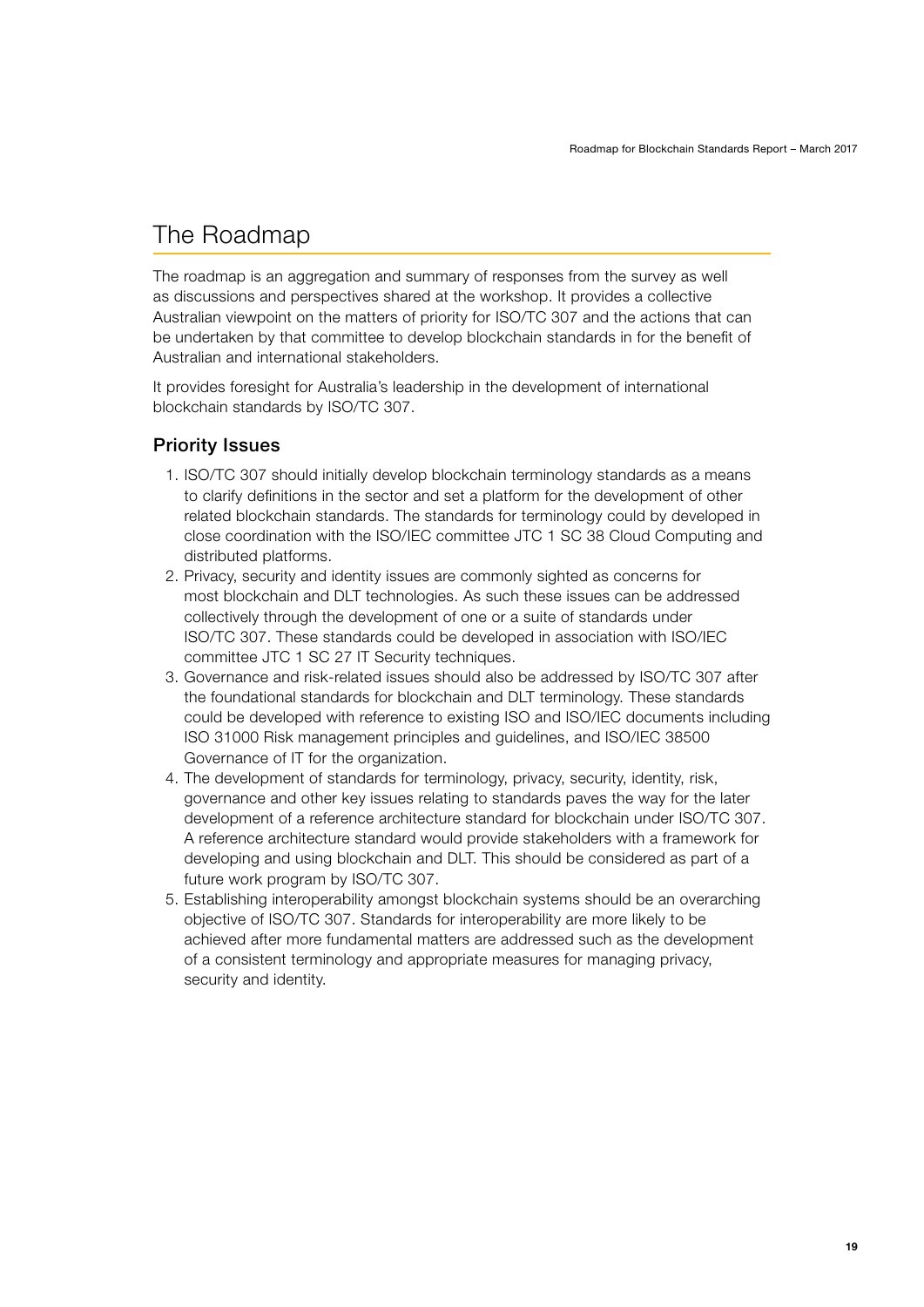# <span id="page-18-0"></span>The Roadmap

The roadmap is an aggregation and summary of responses from the survey as well as discussions and perspectives shared at the workshop. It provides a collective Australian viewpoint on the matters of priority for ISO/TC 307 and the actions that can be undertaken by that committee to develop blockchain standards in for the benefit of Australian and international stakeholders.

It provides foresight for Australia's leadership in the development of international blockchain standards by ISO/TC 307.

### Priority Issues

- 1. ISO/TC 307 should initially develop blockchain terminology standards as a means to clarify definitions in the sector and set a platform for the development of other related blockchain standards. The standards for terminology could by developed in close coordination with the ISO/IEC committee JTC 1 SC 38 Cloud Computing and distributed platforms.
- 2. Privacy, security and identity issues are commonly sighted as concerns for most blockchain and DLT technologies. As such these issues can be addressed collectively through the development of one or a suite of standards under ISO/TC 307. These standards could be developed in association with ISO/IEC committee JTC 1 SC 27 IT Security techniques.
- 3. Governance and risk-related issues should also be addressed by ISO/TC 307 after the foundational standards for blockchain and DLT terminology. These standards could be developed with reference to existing ISO and ISO/IEC documents including ISO 31000 Risk management principles and guidelines, and ISO/IEC 38500 Governance of IT for the organization.
- 4. The development of standards for terminology, privacy, security, identity, risk, governance and other key issues relating to standards paves the way for the later development of a reference architecture standard for blockchain under ISO/TC 307. A reference architecture standard would provide stakeholders with a framework for developing and using blockchain and DLT. This should be considered as part of a future work program by ISO/TC 307.
- 5. Establishing interoperability amongst blockchain systems should be an overarching objective of ISO/TC 307. Standards for interoperability are more likely to be achieved after more fundamental matters are addressed such as the development of a consistent terminology and appropriate measures for managing privacy, security and identity.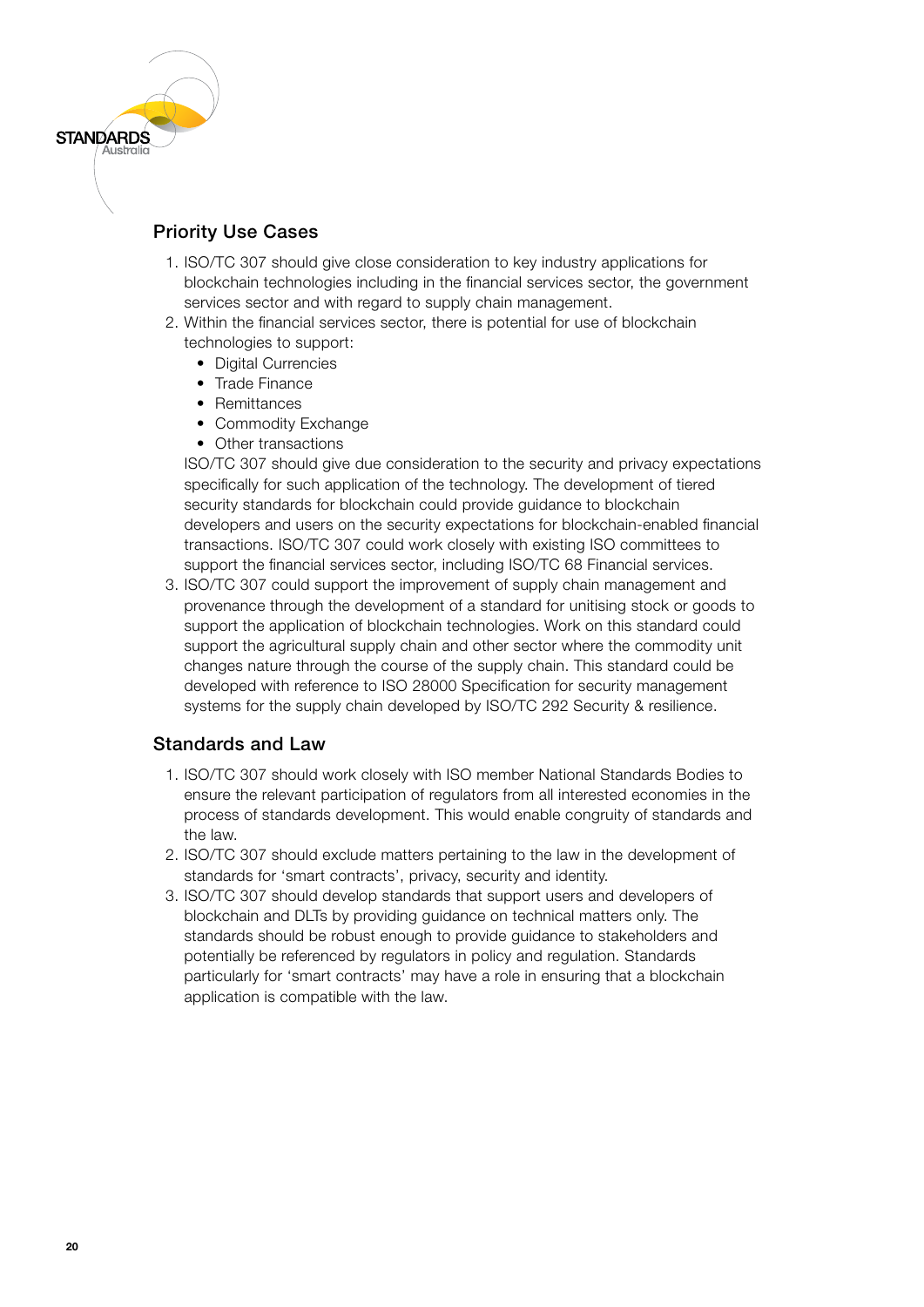

<span id="page-19-0"></span>**STANDARDS** 

- 1. ISO/TC 307 should give close consideration to key industry applications for blockchain technologies including in the financial services sector, the government services sector and with regard to supply chain management.
- 2. Within the financial services sector, there is potential for use of blockchain technologies to support:
	- Digital Currencies
	- Trade Finance
	- Remittances
	- Commodity Exchange
	- Other transactions

ISO/TC 307 should give due consideration to the security and privacy expectations specifically for such application of the technology. The development of tiered security standards for blockchain could provide guidance to blockchain developers and users on the security expectations for blockchain-enabled financial transactions. ISO/TC 307 could work closely with existing ISO committees to support the financial services sector, including ISO/TC 68 Financial services.

3. ISO/TC 307 could support the improvement of supply chain management and provenance through the development of a standard for unitising stock or goods to support the application of blockchain technologies. Work on this standard could support the agricultural supply chain and other sector where the commodity unit changes nature through the course of the supply chain. This standard could be developed with reference to ISO 28000 Specification for security management systems for the supply chain developed by ISO/TC 292 Security & resilience.

### Standards and Law

- 1. ISO/TC 307 should work closely with ISO member National Standards Bodies to ensure the relevant participation of regulators from all interested economies in the process of standards development. This would enable congruity of standards and the law.
- 2. ISO/TC 307 should exclude matters pertaining to the law in the development of standards for 'smart contracts', privacy, security and identity.
- 3. ISO/TC 307 should develop standards that support users and developers of blockchain and DLTs by providing guidance on technical matters only. The standards should be robust enough to provide guidance to stakeholders and potentially be referenced by regulators in policy and regulation. Standards particularly for 'smart contracts' may have a role in ensuring that a blockchain application is compatible with the law.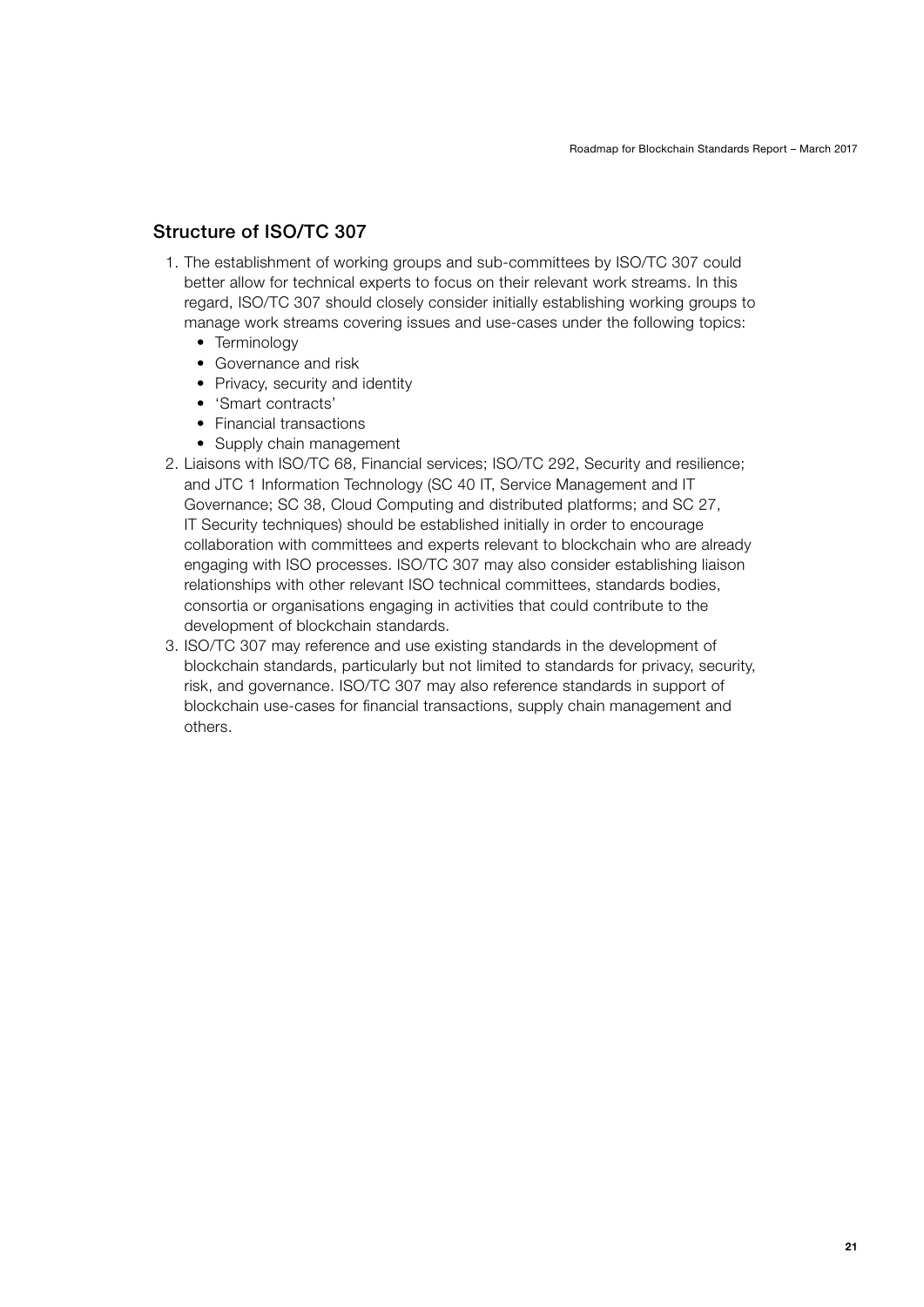### <span id="page-20-0"></span>Structure of ISO/TC 307

- 1. The establishment of working groups and sub-committees by ISO/TC 307 could better allow for technical experts to focus on their relevant work streams. In this regard, ISO/TC 307 should closely consider initially establishing working groups to manage work streams covering issues and use-cases under the following topics:
	- Terminology
	- Governance and risk
	- Privacy, security and identity
	- 'Smart contracts'
	- Financial transactions
	- Supply chain management
- 2. Liaisons with ISO/TC 68, Financial services; ISO/TC 292, Security and resilience; and JTC 1 Information Technology (SC 40 IT, Service Management and IT Governance; SC 38, Cloud Computing and distributed platforms; and SC 27, IT Security techniques) should be established initially in order to encourage collaboration with committees and experts relevant to blockchain who are already engaging with ISO processes. ISO/TC 307 may also consider establishing liaison relationships with other relevant ISO technical committees, standards bodies, consortia or organisations engaging in activities that could contribute to the development of blockchain standards.
- 3. ISO/TC 307 may reference and use existing standards in the development of blockchain standards, particularly but not limited to standards for privacy, security, risk, and governance. ISO/TC 307 may also reference standards in support of blockchain use-cases for financial transactions, supply chain management and others.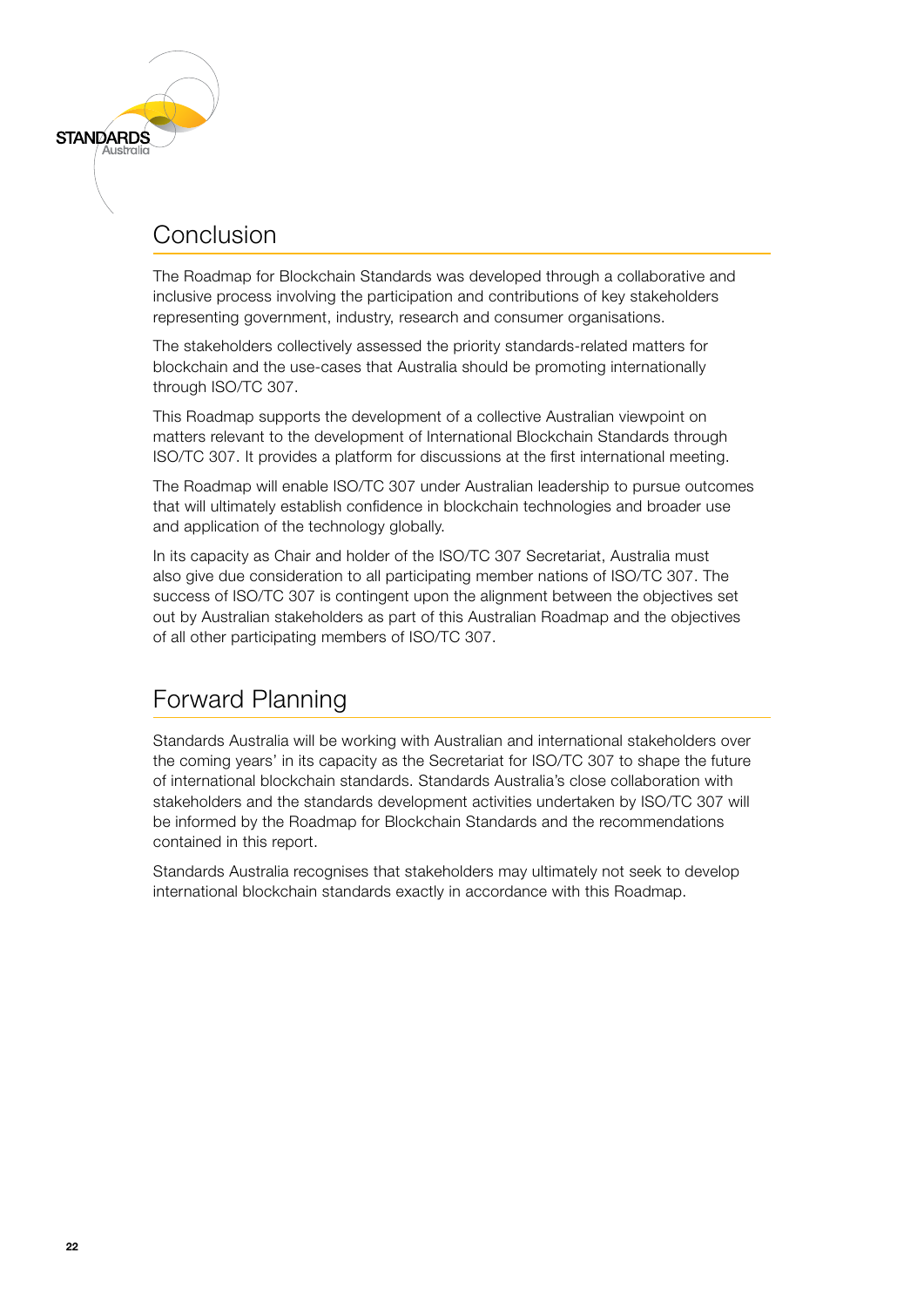### Conclusion

<span id="page-21-0"></span>**STANDARDS** 

The Roadmap for Blockchain Standards was developed through a collaborative and inclusive process involving the participation and contributions of key stakeholders representing government, industry, research and consumer organisations.

The stakeholders collectively assessed the priority standards-related matters for blockchain and the use-cases that Australia should be promoting internationally through ISO/TC 307.

This Roadmap supports the development of a collective Australian viewpoint on matters relevant to the development of International Blockchain Standards through ISO/TC 307. It provides a platform for discussions at the first international meeting.

The Roadmap will enable ISO/TC 307 under Australian leadership to pursue outcomes that will ultimately establish confidence in blockchain technologies and broader use and application of the technology globally.

In its capacity as Chair and holder of the ISO/TC 307 Secretariat, Australia must also give due consideration to all participating member nations of ISO/TC 307. The success of ISO/TC 307 is contingent upon the alignment between the objectives set out by Australian stakeholders as part of this Australian Roadmap and the objectives of all other participating members of ISO/TC 307.

# Forward Planning

Standards Australia will be working with Australian and international stakeholders over the coming years' in its capacity as the Secretariat for ISO/TC 307 to shape the future of international blockchain standards. Standards Australia's close collaboration with stakeholders and the standards development activities undertaken by ISO/TC 307 will be informed by the Roadmap for Blockchain Standards and the recommendations contained in this report.

Standards Australia recognises that stakeholders may ultimately not seek to develop international blockchain standards exactly in accordance with this Roadmap.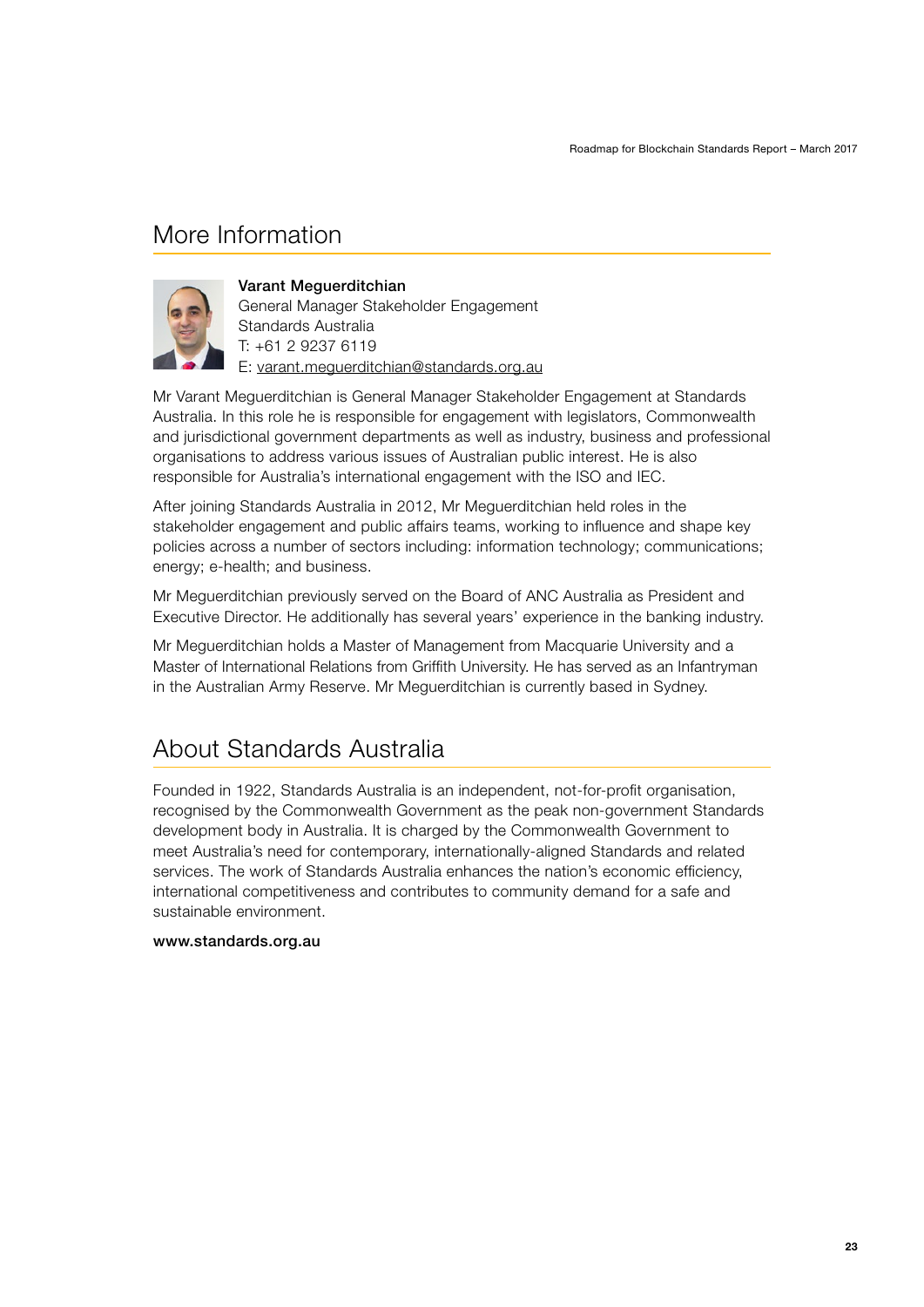## <span id="page-22-0"></span>More Information



#### Varant Meguerditchian

General Manager Stakeholder Engagement Standards Australia T: +61 2 9237 6119 E: varant.meguerditchian@standards.org.au

Mr Varant Meguerditchian is General Manager Stakeholder Engagement at Standards Australia. In this role he is responsible for engagement with legislators, Commonwealth and jurisdictional government departments as well as industry, business and professional organisations to address various issues of Australian public interest. He is also responsible for Australia's international engagement with the ISO and IEC.

After joining Standards Australia in 2012, Mr Meguerditchian held roles in the stakeholder engagement and public affairs teams, working to influence and shape key policies across a number of sectors including: information technology; communications; energy; e-health; and business.

Mr Meguerditchian previously served on the Board of ANC Australia as President and Executive Director. He additionally has several years' experience in the banking industry.

Mr Meguerditchian holds a Master of Management from Macquarie University and a Master of International Relations from Griffith University. He has served as an Infantryman in the Australian Army Reserve. Mr Meguerditchian is currently based in Sydney.

### About Standards Australia

Founded in 1922, Standards Australia is an independent, not-for-profit organisation, recognised by the Commonwealth Government as the peak non-government Standards development body in Australia. It is charged by the Commonwealth Government to meet Australia's need for contemporary, internationally-aligned Standards and related services. The work of Standards Australia enhances the nation's economic efficiency, international competitiveness and contributes to community demand for a safe and sustainable environment.

#### www.standards.org.au